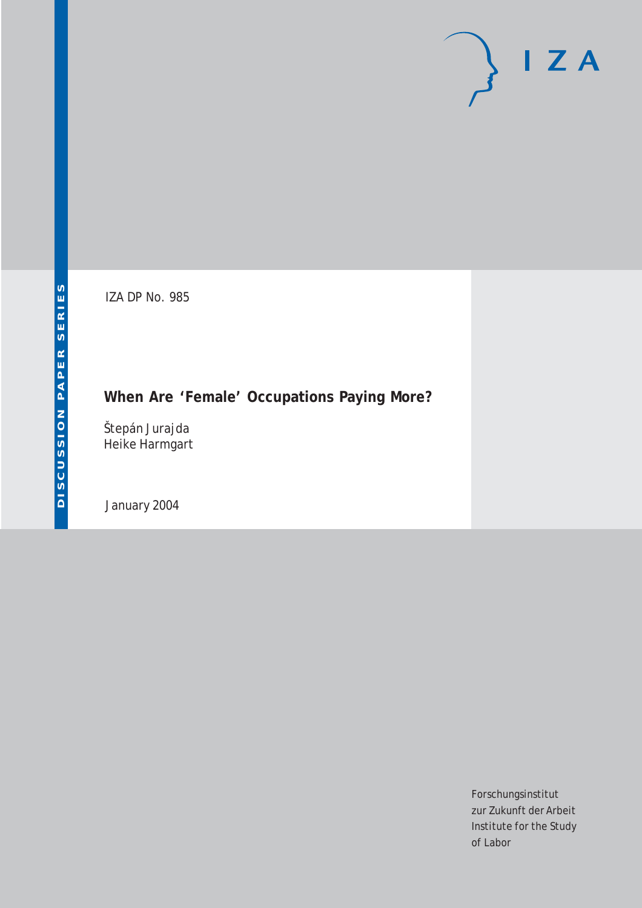# $I Z A$

IZA DP No. 985

## **When Are 'Female' Occupations Paying More?**

Štepán Jurajda Heike Harmgart

January 2004

Forschungsinstitut zur Zukunft der Arbeit Institute for the Study of Labor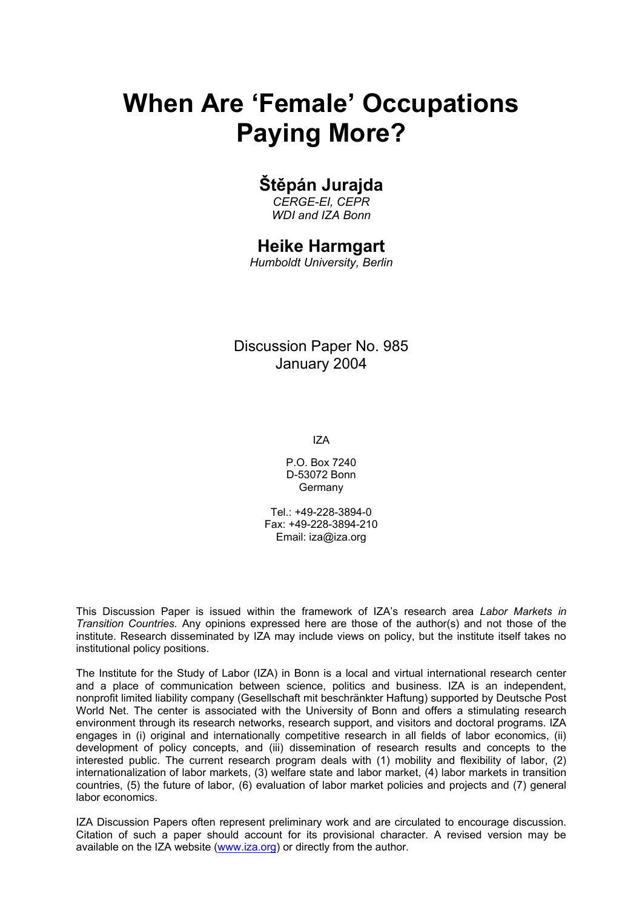# **When Are 'Female' Occupations Paying More?**

## **Štěpán Jurajda**

*CERGE-EI, CEPR WDI and IZA Bonn* 

### **Heike Harmgart**

*Humboldt University, Berlin* 

Discussion Paper No. 985 January 2004

IZA

P.O. Box 7240 D-53072 Bonn **Germany** 

Tel.: +49-228-3894-0 Fax: +49-228-3894-210 Email: [iza@iza.org](mailto:iza@iza.org)

This Discussion Paper is issued within the framework of IZA's research area *Labor Markets in Transition Countries.* Any opinions expressed here are those of the author(s) and not those of the institute. Research disseminated by IZA may include views on policy, but the institute itself takes no institutional policy positions.

The Institute for the Study of Labor (IZA) in Bonn is a local and virtual international research center and a place of communication between science, politics and business. IZA is an independent, nonprofit limited liability company (Gesellschaft mit beschränkter Haftung) supported by Deutsche Post World Net. The center is associated with the University of Bonn and offers a stimulating research environment through its research networks, research support, and visitors and doctoral programs. IZA engages in (i) original and internationally competitive research in all fields of labor economics, (ii) development of policy concepts, and (iii) dissemination of research results and concepts to the interested public. The current research program deals with (1) mobility and flexibility of labor, (2) internationalization of labor markets, (3) welfare state and labor market, (4) labor markets in transition countries, (5) the future of labor, (6) evaluation of labor market policies and projects and (7) general labor economics.

IZA Discussion Papers often represent preliminary work and are circulated to encourage discussion. Citation of such a paper should account for its provisional character. A revised version may be available on the IZA website ([www.iza.org](http://www.iza.org/)) or directly from the author.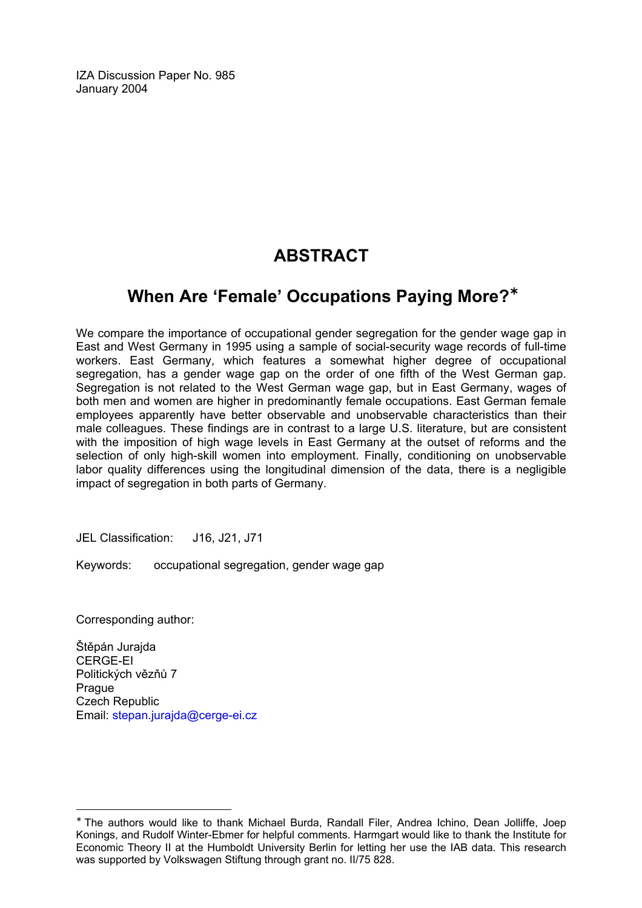IZA Discussion Paper No. 985 January 2004

## **ABSTRACT**

## **When Are 'Female' Occupations Paying More?**[∗](#page-2-0)

We compare the importance of occupational gender segregation for the gender wage gap in East and West Germany in 1995 using a sample of social-security wage records of full-time workers. East Germany, which features a somewhat higher degree of occupational segregation, has a gender wage gap on the order of one fifth of the West German gap. Segregation is not related to the West German wage gap, but in East Germany, wages of both men and women are higher in predominantly female occupations. East German female employees apparently have better observable and unobservable characteristics than their male colleagues. These findings are in contrast to a large U.S. literature, but are consistent with the imposition of high wage levels in East Germany at the outset of reforms and the selection of only high-skill women into employment. Finally, conditioning on unobservable labor quality differences using the longitudinal dimension of the data, there is a negligible impact of segregation in both parts of Germany.

JEL Classification: J16, J21, J71

Keywords: occupational segregation, gender wage gap

Corresponding author:

 $\overline{a}$ 

Štěpán Jurajda CERGE-EI Politických vězňů 7 Prague Czech Republic Email: [stepan.jurajda@cerge-ei.cz](mailto:stepan.jurajda@cerge-ei.cz)

<span id="page-2-0"></span><sup>∗</sup> The authors would like to thank Michael Burda, Randall Filer, Andrea Ichino, Dean Jolliffe, Joep Konings, and Rudolf Winter-Ebmer for helpful comments. Harmgart would like to thank the Institute for Economic Theory II at the Humboldt University Berlin for letting her use the IAB data. This research was supported by Volkswagen Stiftung through grant no. II/75 828.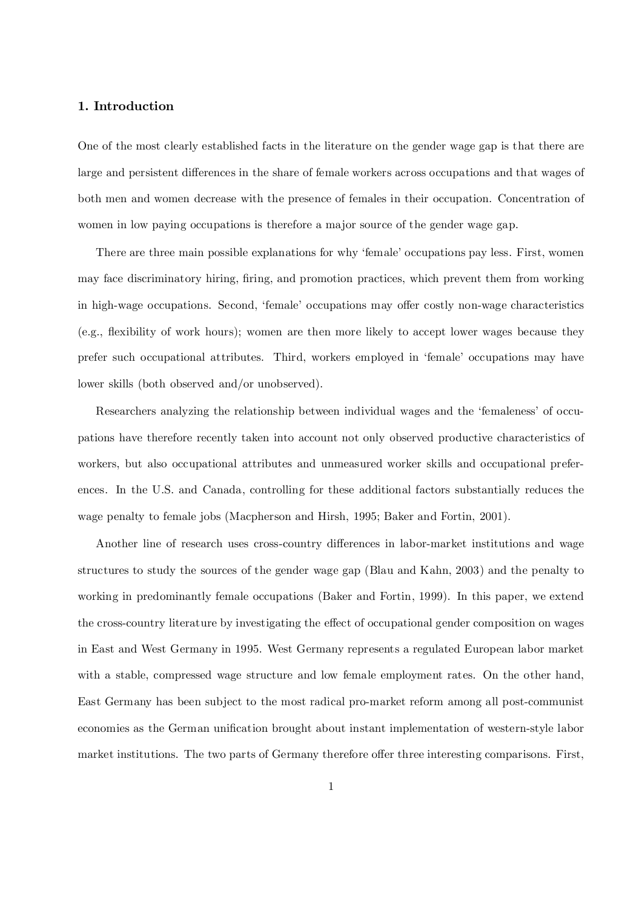#### 1. Introduction

One of the most clearly established facts in the literature on the gender wage gap is that there are large and persistent differences in the share of female workers across occupations and that wages of both men and women decrease with the presence of females in their occupation. Concentration of women in low paying occupations is therefore a major source of the gender wage gap.

There are three main possible explanations for why 'female' occupations pay less. First, women may face discriminatory hiring, firing, and promotion practices, which prevent them from working in high-wage occupations. Second, 'female' occupations may offer costly non-wage characteristics (e.g., flexibility of work hours); women are then more likely to accept lower wages because they prefer such occupational attributes. Third, workers employed in 'female' occupations may have lower skills (both observed and/or unobserved).

Researchers analyzing the relationship between individual wages and the 'femaleness' of occupations have therefore recently taken into account not only observed productive characteristics of workers, but also occupational attributes and unmeasured worker skills and occupational preferences. In the U.S. and Canada, controlling for these additional factors substantially reduces the wage penalty to female jobs (Macpherson and Hirsh, 1995; Baker and Fortin, 2001).

Another line of research uses cross-country differences in labor-market institutions and wage structures to study the sources of the gender wage gap (Blau and Kahn, 2003) and the penalty to working in predominantly female occupations (Baker and Fortin, 1999). In this paper, we extend the cross-country literature by investigating the effect of occupational gender composition on wages in East and West Germany in 1995. West Germany represents a regulated European labor market with a stable, compressed wage structure and low female employment rates. On the other hand, East Germany has been subject to the most radical pro-market reform among all post-communist economies as the German unification brought about instant implementation of western-style labor market institutions. The two parts of Germany therefore offer three interesting comparisons. First,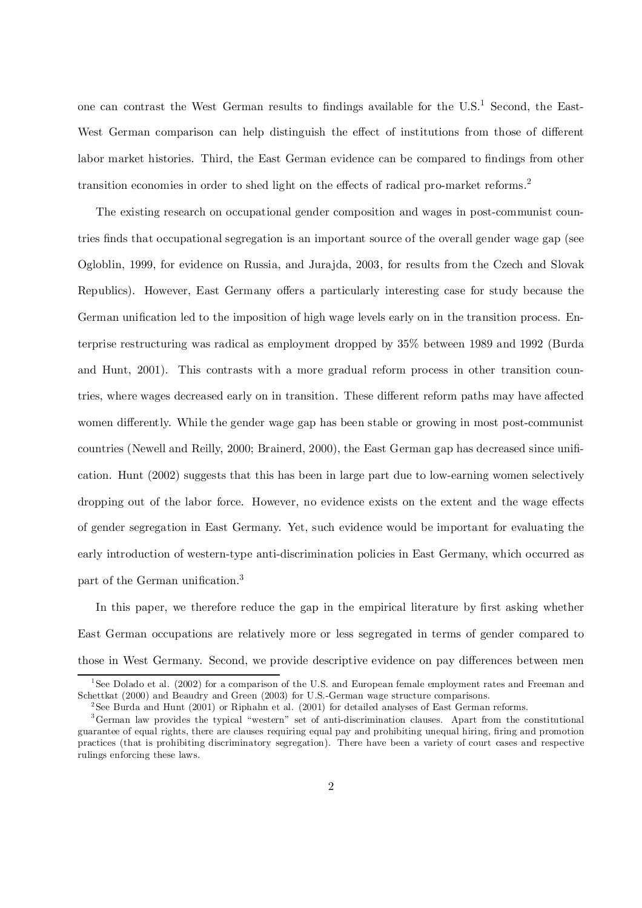one can contrast the West German results to findings available for the  $U.S.<sup>1</sup>$  Second, the East-West German comparison can help distinguish the effect of institutions from those of different labor market histories. Third, the East German evidence can be compared to findings from other transition economies in order to shed light on the effects of radical pro-market reforms.<sup>2</sup>

The existing research on occupational gender composition and wages in post-communist countries finds that occupational segregation is an important source of the overall gender wage gap (see Ogloblin, 1999, for evidence on Russia, and Jurajda, 2003, for results from the Czech and Slovak Republics). However, East Germany offers a particularly interesting case for study because the German unification led to the imposition of high wage levels early on in the transition process. Enterprise restructuring was radical as employment dropped by 35% between 1989 and 1992 (Burda and Hunt, 2001). This contrasts with a more gradual reform process in other transition countries, where wages decreased early on in transition. These different reform paths may have affected women differently. While the gender wage gap has been stable or growing in most post-communist countries (Newell and Reilly, 2000; Brainerd, 2000), the East German gap has decreased since unification. Hunt (2002) suggests that this has been in large part due to low-earning women selectively dropping out of the labor force. However, no evidence exists on the extent and the wage effects of gender segregation in East Germany. Yet, such evidence would be important for evaluating the early introduction of western-type anti-discrimination policies in East Germany, which occurred as part of the German unification.<sup>3</sup>

In this paper, we therefore reduce the gap in the empirical literature by first asking whether East German occupations are relatively more or less segregated in terms of gender compared to those in West Germany. Second, we provide descriptive evidence on pay differences between men

<sup>&</sup>lt;sup>1</sup> See Dolado et al. (2002) for a comparison of the U.S. and European female employment rates and Freeman and Schettkat (2000) and Beaudry and Green (2003) for U.S.-German wage structure comparisons.

 $2$ See Burda and Hunt (2001) or Riphahn et al. (2001) for detailed analyses of East German reforms.

<sup>3</sup>German law provides the typical "western" set of anti-discrimination clauses. Apart from the constitutional guarantee of equal rights, there are clauses requiring equal pay and prohibiting unequal hiring, firing and promotion practices (that is prohibiting discriminatory segregation). There have been a variety of court cases and respective rulings enforcing these laws.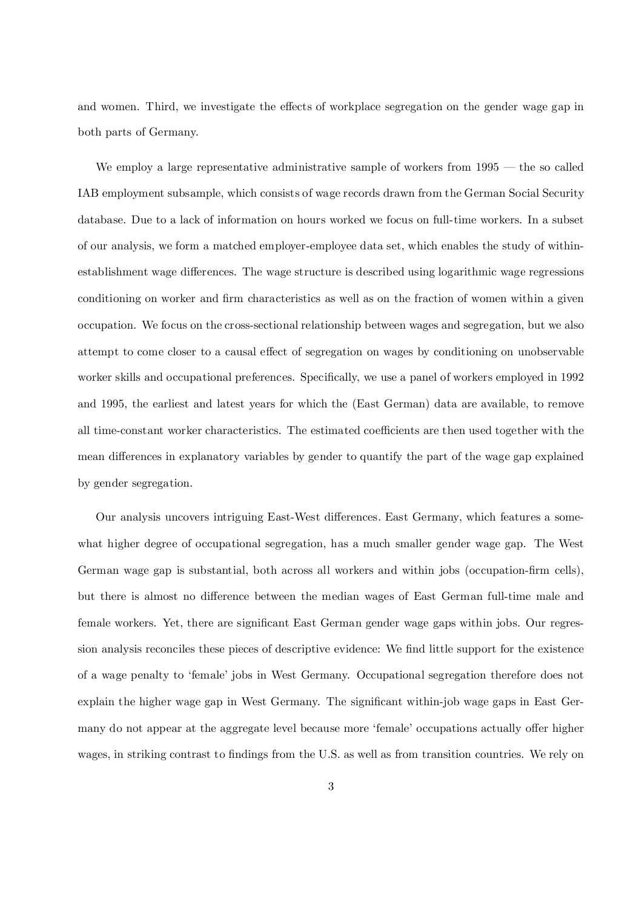and women. Third, we investigate the effects of workplace segregation on the gender wage gap in both parts of Germany.

We employ a large representative administrative sample of workers from 1995 — the so called IAB employment subsample, which consists of wage records drawn from the German Social Security database. Due to a lack of information on hours worked we focus on full-time workers. In a subset of our analysis, we form a matched employer-employee data set, which enables the study of withinestablishment wage differences. The wage structure is described using logarithmic wage regressions conditioning on worker and firm characteristics as well as on the fraction of women within a given occupation. We focus on the cross-sectional relationship between wages and segregation, but we also attempt to come closer to a causal effect of segregation on wages by conditioning on unobservable worker skills and occupational preferences. Specifically, we use a panel of workers employed in 1992 and 1995, the earliest and latest years for which the (East German) data are available, to remove all time-constant worker characteristics. The estimated coefficients are then used together with the mean differences in explanatory variables by gender to quantify the part of the wage gap explained by gender segregation.

Our analysis uncovers intriguing East-West differences. East Germany, which features a somewhat higher degree of occupational segregation, has a much smaller gender wage gap. The West German wage gap is substantial, both across all workers and within jobs (occupation-firm cells), but there is almost no difference between the median wages of East German full-time male and female workers. Yet, there are significant East German gender wage gaps within jobs. Our regression analysis reconciles these pieces of descriptive evidence: We find little support for the existence of a wage penalty to 'female' jobs in West Germany. Occupational segregation therefore does not explain the higher wage gap in West Germany. The significant within-job wage gaps in East Germany do not appear at the aggregate level because more 'female' occupations actually offer higher wages, in striking contrast to findings from the U.S. as well as from transition countries. We rely on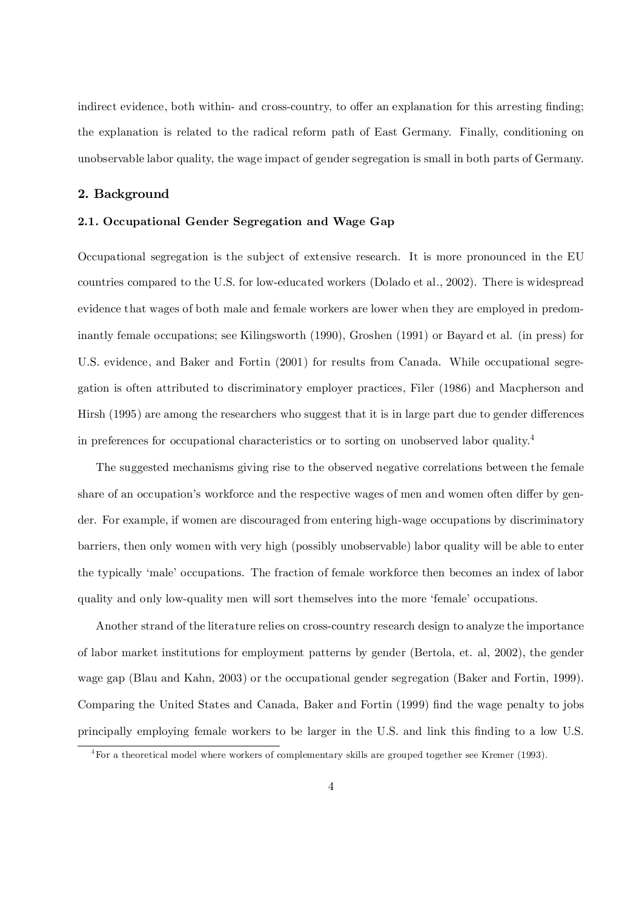indirect evidence, both within- and cross-country, to offer an explanation for this arresting finding; the explanation is related to the radical reform path of East Germany. Finally, conditioning on unobservable labor quality, the wage impact of gender segregation is small in both parts of Germany.

#### 2. Background

#### 2.1. Occupational Gender Segregation and Wage Gap

Occupational segregation is the subject of extensive research. It is more pronounced in the EU countries compared to the U.S. for low-educated workers (Dolado et al., 2002). There is widespread evidence that wages of both male and female workers are lower when they are employed in predominantly female occupations; see Kilingsworth (1990), Groshen (1991) or Bayard et al. (in press) for U.S. evidence, and Baker and Fortin (2001) for results from Canada. While occupational segregation is often attributed to discriminatory employer practices, Filer (1986) and Macpherson and Hirsh (1995) are among the researchers who suggest that it is in large part due to gender differences in preferences for occupational characteristics or to sorting on unobserved labor quality. 4

The suggested mechanisms giving rise to the observed negative correlations between the female share of an occupation's workforce and the respective wages of men and women often differ by gender. For example, if women are discouraged from entering high-wage occupations by discriminatory barriers, then only women with very high (possibly unobservable) labor quality will be able to enter the typically 'male' occupations. The fraction of female workforce then becomes an index of labor quality and only low-quality men will sort themselves into the more 'female' occupations.

Another strand of the literature relies on cross-country research design to analyze the importance of labor market institutions for employment patterns by gender (Bertola, et. al, 2002), the gender wage gap (Blau and Kahn, 2003) or the occupational gender segregation (Baker and Fortin, 1999). Comparing the United States and Canada, Baker and Fortin (1999) find the wage penalty to jobs principally employing female workers to be larger in the U.S. and link this finding to a low U.S.

<sup>4</sup>For a theoretical model where workers of complementary skills are grouped together see Kremer (1993).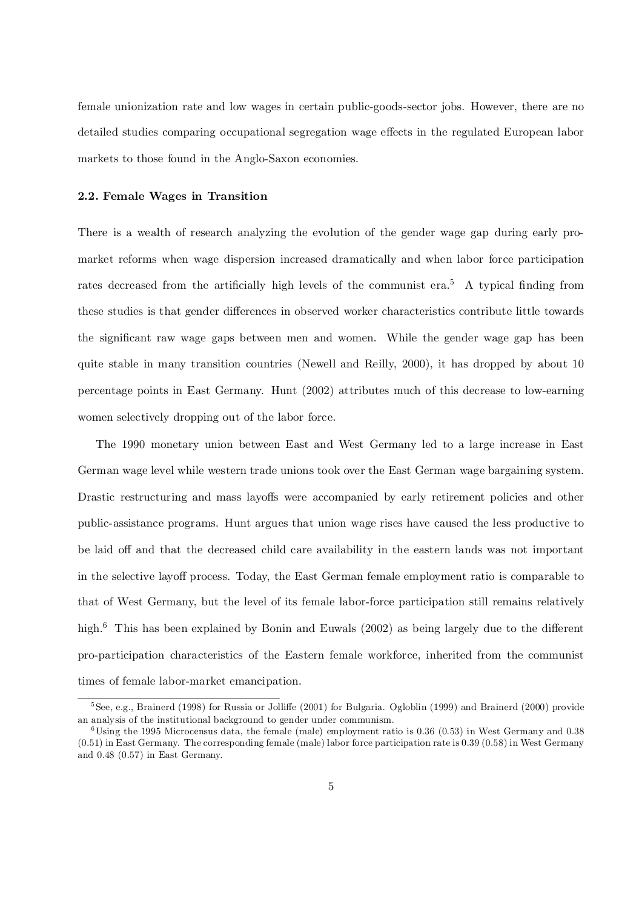female unionization rate and low wages in certain public-goods-sector jobs. However, there are no detailed studies comparing occupational segregation wage effects in the regulated European labor markets to those found in the Anglo-Saxon economies.

#### 2.2. Female Wages in Transition

There is a wealth of research analyzing the evolution of the gender wage gap during early promarket reforms when wage dispersion increased dramatically and when labor force participation rates decreased from the artificially high levels of the communist era.<sup>5</sup> A typical finding from these studies is that gender differences in observed worker characteristics contribute little towards the significant raw wage gaps between men and women. While the gender wage gap has been quite stable in many transition countries (Newell and Reilly, 2000), it has dropped by about 10 percentage points in East Germany. Hunt (2002) attributes much of this decrease to low-earning women selectively dropping out of the labor force.

The 1990 monetary union between East and West Germany led to a large increase in East German wage level while western trade unions took over the East German wage bargaining system. Drastic restructuring and mass layoffs were accompanied by early retirement policies and other public-assistance programs. Hunt argues that union wage rises have caused the less productive to be laid off and that the decreased child care availability in the eastern lands was not important in the selective layoff process. Today, the East German female employment ratio is comparable to that of West Germany, but the level of its female labor-force participation still remains relatively high.<sup>6</sup> This has been explained by Bonin and Euwals (2002) as being largely due to the different pro-participation characteristics of the Eastern female workforce, inherited from the communist times of female labor-market emancipation.

 $5$ See, e.g., Brainerd (1998) for Russia or Jolliffe (2001) for Bulgaria. Ogloblin (1999) and Brainerd (2000) provide an analysis of the institutional background to gender under communism.

 $6$ Using the 1995 Microcensus data, the female (male) employment ratio is 0.36 (0.53) in West Germany and 0.38 (0.51) in East Germany. The corresponding female (male) labor force participation rate is 0.39 (0.58) in West Germany and 0.48 (0.57) in East Germany.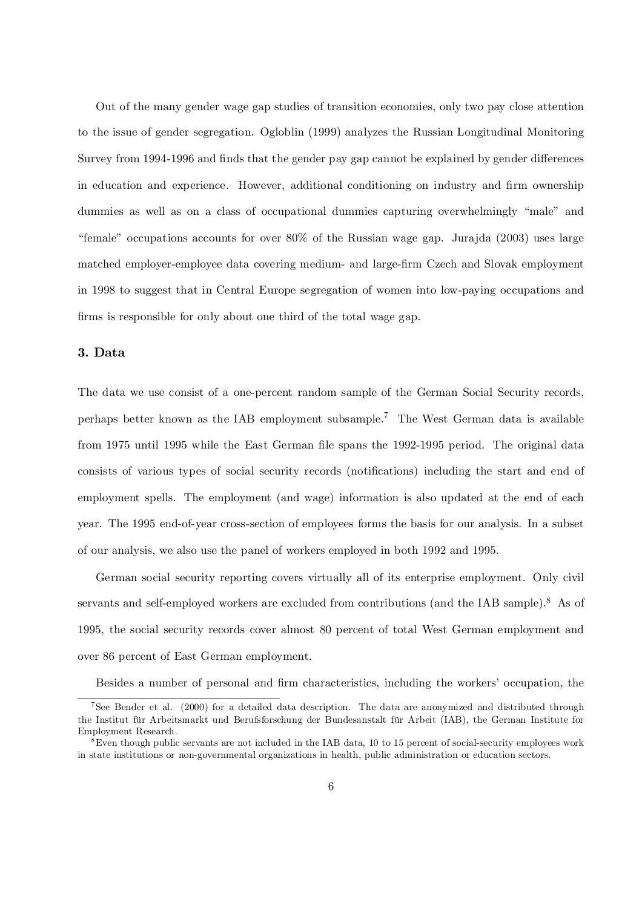Out of the many gender wage gap studies of transition economies, only two pay close attention to the issue of gender segregation. Ogloblin (1999) analyzes the Russian Longitudinal Monitoring Survey from 1994-1996 and finds that the gender pay gap cannot be explained by gender differences in education and experience. However, additional conditioning on industry and firm ownership dummies as well as on a class of occupational dummies capturing overwhelmingly "male" and "female" occupations accounts for over 80% of the Russian wage gap. Jurajda (2003) uses large matched employer-employee data covering medium- and large-firm Czech and Slovak employment in 1998 to suggest that in Central Europe segregation of women into low-paying occupations and firms is responsible for only about one third of the total wage gap.

#### 3. Data

The data we use consist of a one-percent random sample of the German Social Security records, perhaps better known as the IAB employment subsample. <sup>7</sup> The West German data is available from 1975 until 1995 while the East German file spans the 1992-1995 period. The original data consists of various types of social security records (notifications) including the start and end of employment spells. The employment (and wage) information is also updated at the end of each year. The 1995 end-of-year cross-section of employees forms the basis for our analysis. In a subset of our analysis, we also use the panel of workers employed in both 1992 and 1995.

German social security reporting covers virtually all of its enterprise employment. Only civil servants and self-employed workers are excluded from contributions (and the IAB sample).<sup>8</sup> As of 1995, the social security records cover almost 80 percent of total West German employment and over 86 percent of East German employment.

Besides a number of personal and firm characteristics, including the workers' occupation, the

<sup>&</sup>lt;sup>7</sup>See Bender et al. (2000) for a detailed data description. The data are anonymized and distributed through the Institut für Arbeitsmarkt und Berufsforschung der Bundesanstalt für Arbeit (IAB), the German Institute for Employment Research.

 $8$ Even though public servants are not included in the IAB data, 10 to 15 percent of social-security employees work in state institutions or non-governmental organizations in health, public administration or education sectors.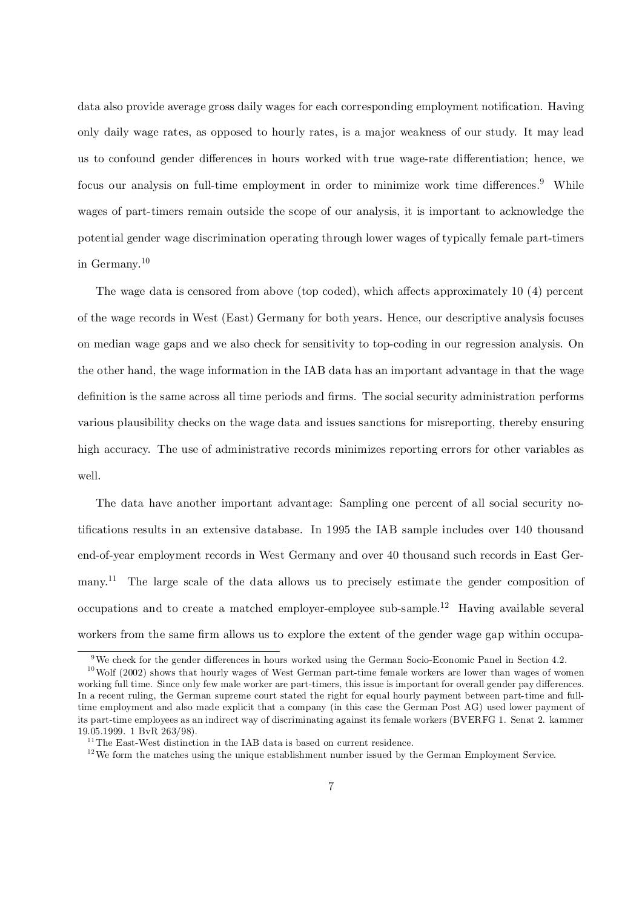data also provide average gross daily wages for each corresponding employment notification. Having only daily wage rates, as opposed to hourly rates, is a major weakness of our study. It may lead us to confound gender differences in hours worked with true wage-rate differentiation; hence, we focus our analysis on full-time employment in order to minimize work time differences.<sup>9</sup> While wages of part-timers remain outside the scope of our analysis, it is important to acknowledge the potential gender wage discrimination operating through lower wages of typically female part-timers in Germany. 10

The wage data is censored from above (top coded), which affects approximately  $10(4)$  percent of the wage records in West (East) Germany for both years. Hence, our descriptive analysis focuses on median wage gaps and we also check for sensitivity to top-coding in our regression analysis. On the other hand, the wage information in the IAB data has an important advantage in that the wage definition is the same across all time periods and firms. The social security administration performs various plausibility checks on the wage data and issues sanctions for misreporting, thereby ensuring high accuracy. The use of administrative records minimizes reporting errors for other variables as well.

The data have another important advantage: Sampling one percent of all social security notifications results in an extensive database. In 1995 the IAB sample includes over  $140$  thousand end-of-year employment records in West Germany and over 40 thousand such records in East Germany.<sup>11</sup> The large scale of the data allows us to precisely estimate the gender composition of occupations and to create a matched employer-employee sub-sample.<sup>12</sup> Having available several workers from the same firm allows us to explore the extent of the gender wage gap within occupa-

 $9$ We check for the gender differences in hours worked using the German Socio-Economic Panel in Section 4.2.

 $10$  Wolf (2002) shows that hourly wages of West German part-time female workers are lower than wages of women working full time. Since only few male worker are part-timers, this issue is important for overall gender pay differences. In a recent ruling, the German supreme court stated the right for equal hourly payment between part-time and fulltime employment and also made explicit that a company (in this case the German Post AG) used lower payment of its part-time employees as an indirect way of discriminating against its female workers (BVERFG 1. Senat 2. kammer 19.05.1999. 1 BvR 263/98).

 $^{11}\mathrm{The}$  East-West distinction in the IAB data is based on current residence.

 $12$ We form the matches using the unique establishment number issued by the German Employment Service.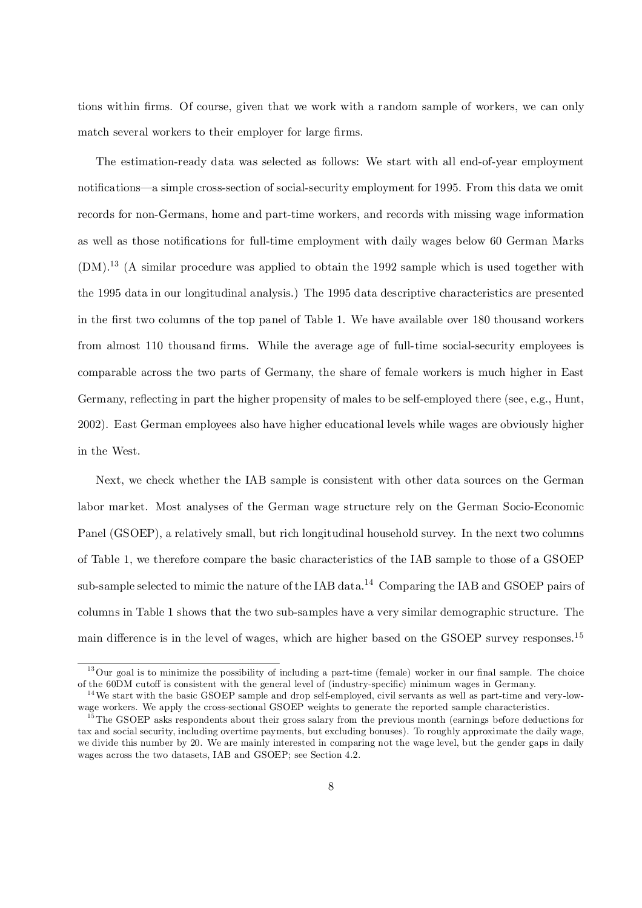tions within firms. Of course, given that we work with a random sample of workers, we can only match several workers to their employer for large firms.

The estimation-ready data was selected as follows: We start with all end-of-year employment notifications—a simple cross-section of social-security employment for 1995. From this data we omit records for non-Germans, home and part-time workers, and records with missing wage information as well as those notifications for full-time employment with daily wages below 60 German Marks (DM). 13 (A similar procedure was applied to obtain the 1992 sample which is used together with the 1995 data in our longitudinal analysis.) The 1995 data descriptive characteristics are presented in the first two columns of the top panel of Table 1. We have available over 180 thousand workers from almost 110 thousand firms. While the average age of full-time social-security employees is comparable across the two parts of Germany, the share of female workers is much higher in East Germany, reflecting in part the higher propensity of males to be self-employed there (see, e.g., Hunt, 2002). East German employees also have higher educational levels while wages are obviously higher in the West.

Next, we check whether the IAB sample is consistent with other data sources on the German labor market. Most analyses of the German wage structure rely on the German Socio-Economic Panel (GSOEP), a relatively small, but rich longitudinal household survey. In the next two columns of Table 1, we therefore compare the basic characteristics of the IAB sample to those of a GSOEP sub-sample selected to mimic the nature of the IAB data.<sup>14</sup> Comparing the IAB and GSOEP pairs of columns in Table 1 shows that the two sub-samples have a very similar demographic structure. The main difference is in the level of wages, which are higher based on the GSOEP survey responses.<sup>15</sup>

 $13\,\text{O}$ ur goal is to minimize the possibility of including a part-time (female) worker in our final sample. The choice of the 60DM cutoff is consistent with the general level of (industry-specific) minimum wages in Germany.

 $14$ We start with the basic GSOEP sample and drop self-employed, civil servants as well as part-time and very-lowwage workers. We apply the cross-sectional GSOEP weights to generate the reported sample characteristics.

<sup>&</sup>lt;sup>15</sup>The GSOEP asks respondents about their gross salary from the previous month (earnings before deductions for tax and social security, including overtime payments, but excluding bonuses). To roughly approximate the daily wage, we divide this number by 20. We are mainly interested in comparing not the wage level, but the gender gaps in daily wages across the two datasets, IAB and GSOEP; see Section 4.2.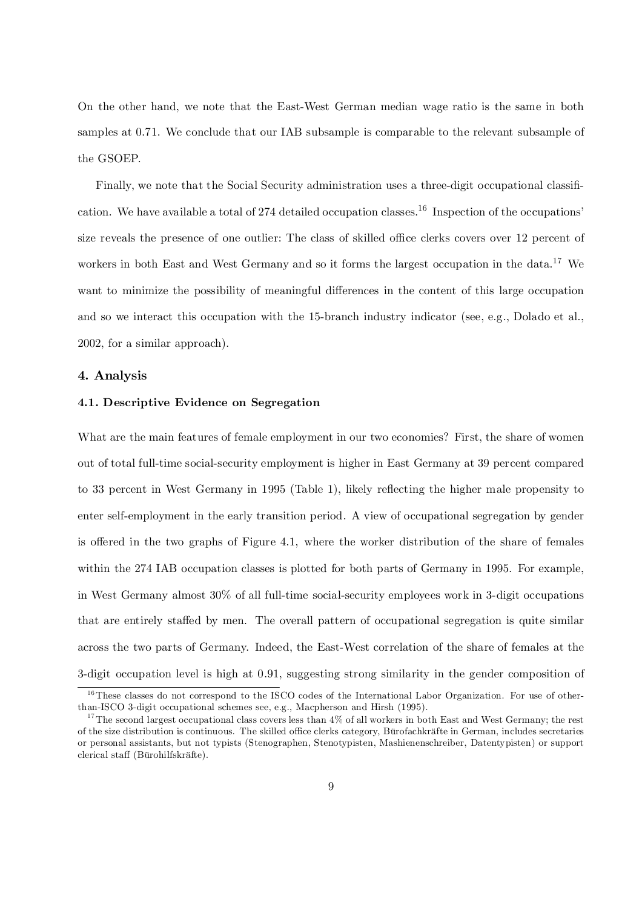On the other hand, we note that the East-West German median wage ratio is the same in both samples at 0.71. We conclude that our IAB subsample is comparable to the relevant subsample of the GSOEP.

Finally, we note that the Social Security administration uses a three-digit occupational classification. We have available a total of 274 detailed occupation classes.<sup>16</sup> Inspection of the occupations' size reveals the presence of one outlier: The class of skilled office clerks covers over 12 percent of workers in both East and West Germany and so it forms the largest occupation in the data.<sup>17</sup> We want to minimize the possibility of meaningful differences in the content of this large occupation and so we interact this occupation with the 15-branch industry indicator (see, e.g., Dolado et al., 2002, for a similar approach).

#### 4. Analysis

#### 4.1. Descriptive Evidence on Segregation

What are the main features of female employment in our two economies? First, the share of women out of total full-time social-security employment is higher in East Germany at 39 percent compared to 33 percent in West Germany in 1995 (Table 1), likely reflecting the higher male propensity to enter self-employment in the early transition period. A view of occupational segregation by gender is offered in the two graphs of Figure 4.1, where the worker distribution of the share of females within the 274 IAB occupation classes is plotted for both parts of Germany in 1995. For example, in West Germany almost 30% of all full-time social-security employees work in 3-digit occupations that are entirely staffed by men. The overall pattern of occupational segregation is quite similar across the two parts of Germany. Indeed, the East-West correlation of the share of females at the 3-digit occupation level is high at 0.91, suggesting strong similarity in the gender composition of

<sup>&</sup>lt;sup>16</sup>These classes do not correspond to the ISCO codes of the International Labor Organization. For use of otherthan-ISCO 3-digit occupational schemes see, e.g., Macpherson and Hirsh (1995).

 $17$ The second largest occupational class covers less than  $4\%$  of all workers in both East and West Germany; the rest of the size distribution is continuous. The skilled office clerks category, Bürofachkräfte in German, includes secretaries or personal assistants, but not typists (Stenographen, Stenotypisten, Mashienenschreiber, Datentypisten) or support clerical sta¤ (Bürohilfskräfte).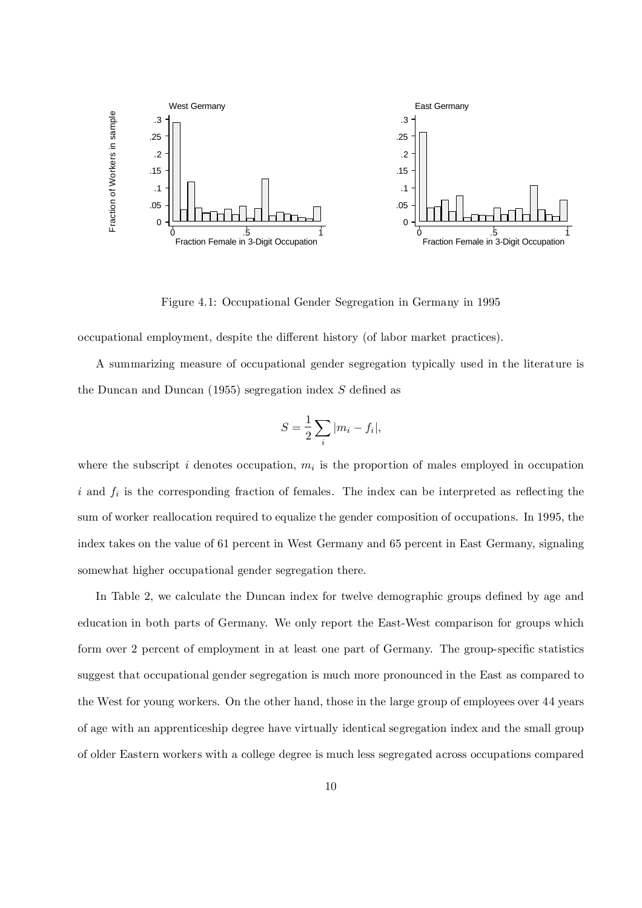

Figure 4.1: Occupational Gender Segregation in Germany in 1995

occupational employment, despite the di¤erent history (of labor market practices).

A summarizing measure of occupational gender segregation typically used in the literature is the Duncan and Duncan  $(1955)$  segregation index S defined as

$$
S = \frac{1}{2} \sum_{i} |m_i - f_i|,
$$

where the subscript i denotes occupation,  $m_i$  is the proportion of males employed in occupation i and  $f_i$  is the corresponding fraction of females. The index can be interpreted as reflecting the sum of worker reallocation required to equalize the gender composition of occupations. In 1995, the index takes on the value of 61 percent in West Germany and 65 percent in East Germany, signaling somewhat higher occupational gender segregation there.

In Table 2, we calculate the Duncan index for twelve demographic groups defined by age and education in both parts of Germany. We only report the East-West comparison for groups which form over 2 percent of employment in at least one part of Germany. The group-specific statistics suggest that occupational gender segregation is much more pronounced in the East as compared to the West for young workers. On the other hand, those in the large group of employees over 44 years of age with an apprenticeship degree have virtually identical segregation index and the small group of older Eastern workers with a college degree is much less segregated across occupations compared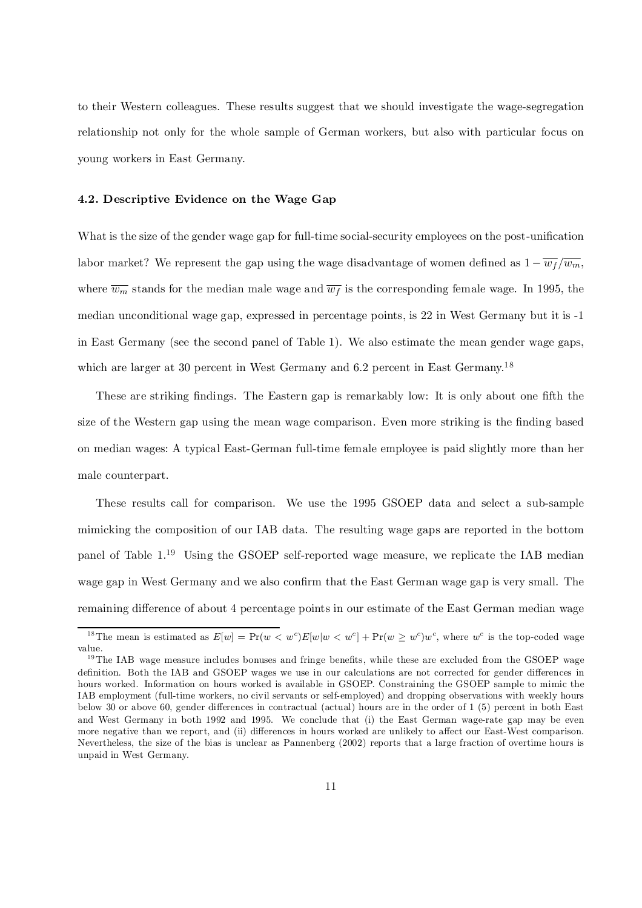to their Western colleagues. These results suggest that we should investigate the wage-segregation relationship not only for the whole sample of German workers, but also with particular focus on young workers in East Germany.

#### 4.2. Descriptive Evidence on the Wage Gap

What is the size of the gender wage gap for full-time social-security employees on the post-unification labor market? We represent the gap using the wage disadvantage of women defined as  $1 - \overline{w_f}/\overline{w_m}$ , where  $\overline{w_m}$  stands for the median male wage and  $\overline{w_f}$  is the corresponding female wage. In 1995, the median unconditional wage gap, expressed in percentage points, is 22 in West Germany but it is -1 in East Germany (see the second panel of Table 1). We also estimate the mean gender wage gaps, which are larger at 30 percent in West Germany and 6.2 percent in East Germany.<sup>18</sup>

These are striking findings. The Eastern gap is remarkably low: It is only about one fifth the size of the Western gap using the mean wage comparison. Even more striking is the finding based on median wages: A typical East-German full-time female employee is paid slightly more than her male counterpart.

These results call for comparison. We use the 1995 GSOEP data and select a sub-sample mimicking the composition of our IAB data. The resulting wage gaps are reported in the bottom panel of Table 1. <sup>19</sup> Using the GSOEP self-reported wage measure, we replicate the IAB median wage gap in West Germany and we also confirm that the East German wage gap is very small. The remaining difference of about 4 percentage points in our estimate of the East German median wage

<sup>&</sup>lt;sup>18</sup>The mean is estimated as  $E[w] = Pr(w < w^c)E[w|w < w^c] + Pr(w \geq w^c)w^c$ , where  $w^c$  is the top-coded wage value.

 $19$ The IAB wage measure includes bonuses and fringe benefits, while these are excluded from the GSOEP wage definition. Both the IAB and GSOEP wages we use in our calculations are not corrected for gender differences in hours worked. Information on hours worked is available in GSOEP. Constraining the GSOEP sample to mimic the IAB employment (full-time workers, no civil servants or self-employed) and dropping observations with weekly hours below 30 or above 60, gender differences in contractual (actual) hours are in the order of 1 (5) percent in both East and West Germany in both 1992 and 1995. We conclude that (i) the East German wage-rate gap may be even more negative than we report, and (ii) differences in hours worked are unlikely to affect our East-West comparison. Nevertheless, the size of the bias is unclear as Pannenberg (2002) reports that a large fraction of overtime hours is unpaid in West Germany.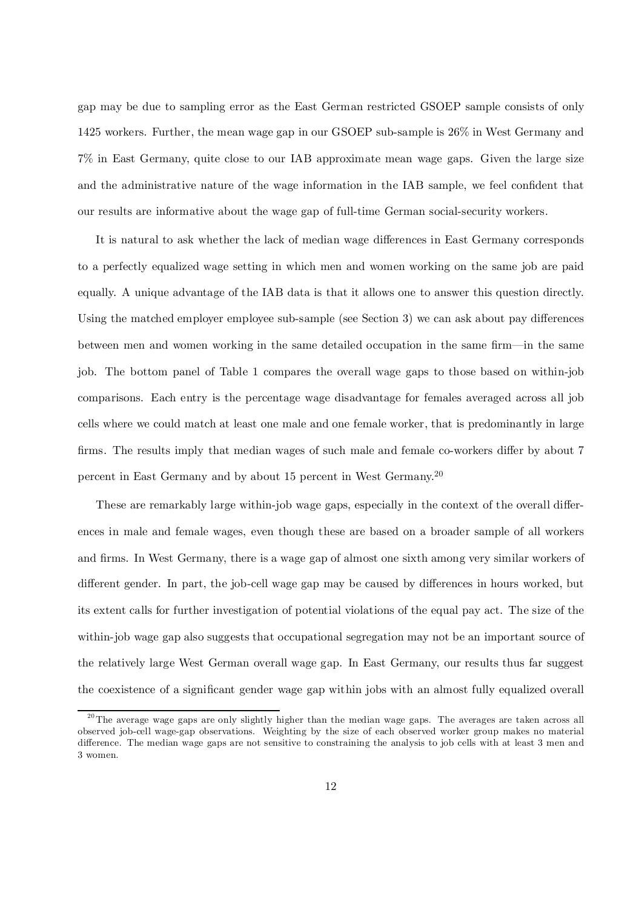gap may be due to sampling error as the East German restricted GSOEP sample consists of only 1425 workers. Further, the mean wage gap in our GSOEP sub-sample is 26% in West Germany and 7% in East Germany, quite close to our IAB approximate mean wage gaps. Given the large size and the administrative nature of the wage information in the IAB sample, we feel confident that our results are informative about the wage gap of full-time German social-security workers.

It is natural to ask whether the lack of median wage differences in East Germany corresponds to a perfectly equalized wage setting in which men and women working on the same job are paid equally. A unique advantage of the IAB data is that it allows one to answer this question directly. Using the matched employer employee sub-sample (see Section 3) we can ask about pay differences between men and women working in the same detailed occupation in the same firm—in the same job. The bottom panel of Table 1 compares the overall wage gaps to those based on within-job comparisons. Each entry is the percentage wage disadvantage for females averaged across all job cells where we could match at least one male and one female worker, that is predominantly in large firms. The results imply that median wages of such male and female co-workers differ by about 7 percent in East Germany and by about 15 percent in West Germany. 20

These are remarkably large within-job wage gaps, especially in the context of the overall differences in male and female wages, even though these are based on a broader sample of all workers and firms. In West Germany, there is a wage gap of almost one sixth among very similar workers of different gender. In part, the job-cell wage gap may be caused by differences in hours worked, but its extent calls for further investigation of potential violations of the equal pay act. The size of the within-job wage gap also suggests that occupational segregation may not be an important source of the relatively large West German overall wage gap. In East Germany, our results thus far suggest the coexistence of a significant gender wage gap within jobs with an almost fully equalized overall

<sup>&</sup>lt;sup>20</sup>The average wage gaps are only slightly higher than the median wage gaps. The averages are taken across all observed job-cell wage-gap observations. Weighting by the size of each observed worker group makes no material difference. The median wage gaps are not sensitive to constraining the analysis to job cells with at least 3 men and 3 women.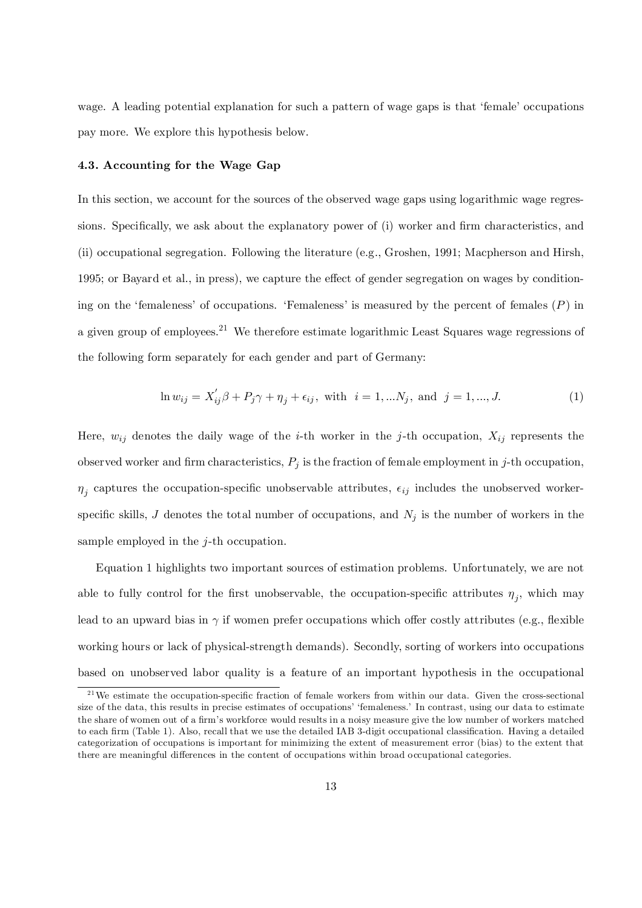wage. A leading potential explanation for such a pattern of wage gaps is that 'female' occupations pay more. We explore this hypothesis below.

#### 4.3. Accounting for the Wage Gap

In this section, we account for the sources of the observed wage gaps using logarithmic wage regressions. Specifically, we ask about the explanatory power of (i) worker and firm characteristics, and (ii) occupational segregation. Following the literature (e.g., Groshen, 1991; Macpherson and Hirsh, 1995; or Bayard et al., in press), we capture the effect of gender segregation on wages by conditioning on the 'femaleness' of occupations. 'Femaleness' is measured by the percent of females  $(P)$  in a given group of employees.<sup>21</sup> We therefore estimate logarithmic Least Squares wage regressions of the following form separately for each gender and part of Germany:

$$
\ln w_{ij} = X'_{ij}\beta + P_j\gamma + \eta_j + \epsilon_{ij}, \text{ with } i = 1, \dots N_j, \text{ and } j = 1, \dots, J. \tag{1}
$$

Here,  $w_{ij}$  denotes the daily wage of the *i*-th worker in the *j*-th occupation,  $X_{ij}$  represents the observed worker and firm characteristics,  $P_j$  is the fraction of female employment in j-th occupation,  $\eta_j$  captures the occupation-specific unobservable attributes,  $\epsilon_{ij}$  includes the unobserved workerspecific skills,  $J$  denotes the total number of occupations, and  $N_j$  is the number of workers in the sample employed in the  $i$ -th occupation.

Equation 1 highlights two important sources of estimation problems. Unfortunately, we are not able to fully control for the first unobservable, the occupation-specific attributes  $\eta_j$ , which may lead to an upward bias in  $\gamma$  if women prefer occupations which offer costly attributes (e.g., flexible working hours or lack of physical-strength demands). Secondly, sorting of workers into occupations based on unobserved labor quality is a feature of an important hypothesis in the occupational

 $21$ We estimate the occupation-specific fraction of female workers from within our data. Given the cross-sectional size of the data, this results in precise estimates of occupations' 'femaleness.' In contrast, using our data to estimate the share of women out of a firm's workforce would results in a noisy measure give the low number of workers matched to each firm (Table 1). Also, recall that we use the detailed IAB 3-digit occupational classification. Having a detailed categorization of occupations is important for minimizing the extent of measurement error (bias) to the extent that there are meaningful differences in the content of occupations within broad occupational categories.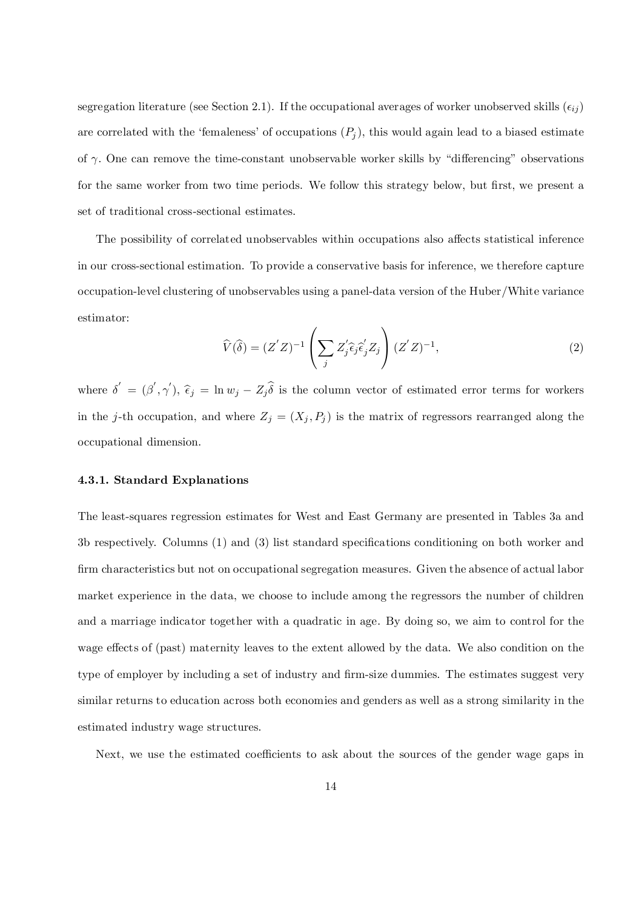segregation literature (see Section 2.1). If the occupational averages of worker unobserved skills  $(\epsilon_{ij})$ are correlated with the 'femaleness' of occupations  $(P_j)$ , this would again lead to a biased estimate of  $\gamma$ . One can remove the time-constant unobservable worker skills by "differencing" observations for the same worker from two time periods. We follow this strategy below, but first, we present a set of traditional cross-sectional estimates.

The possibility of correlated unobservables within occupations also affects statistical inference in our cross-sectional estimation. To provide a conservative basis for inference, we therefore capture occupation-level clustering of unobservables using a panel-data version of the Huber/White variance estimator:

$$
\widehat{V}(\widehat{\delta}) = (Z'Z)^{-1} \left( \sum_{j} Z'_{j} \widehat{\epsilon}_{j} \widehat{\epsilon}'_{j} Z_{j} \right) (Z'Z)^{-1}, \tag{2}
$$

where  $\delta' = (\beta', \gamma'), \hat{\epsilon}_j = \ln w_j - Z_j \hat{\delta}$  is the column vector of estimated error terms for workers in the j-th occupation, and where  $Z_j = (X_j, P_j)$  is the matrix of regressors rearranged along the occupational dimension.

#### 4.3.1. Standard Explanations

The least-squares regression estimates for West and East Germany are presented in Tables 3a and 3b respectively. Columns  $(1)$  and  $(3)$  list standard specifications conditioning on both worker and firm characteristics but not on occupational segregation measures. Given the absence of actual labor market experience in the data, we choose to include among the regressors the number of children and a marriage indicator together with a quadratic in age. By doing so, we aim to control for the wage effects of (past) maternity leaves to the extent allowed by the data. We also condition on the type of employer by including a set of industry and firm-size dummies. The estimates suggest very similar returns to education across both economies and genders as well as a strong similarity in the estimated industry wage structures.

Next, we use the estimated coefficients to ask about the sources of the gender wage gaps in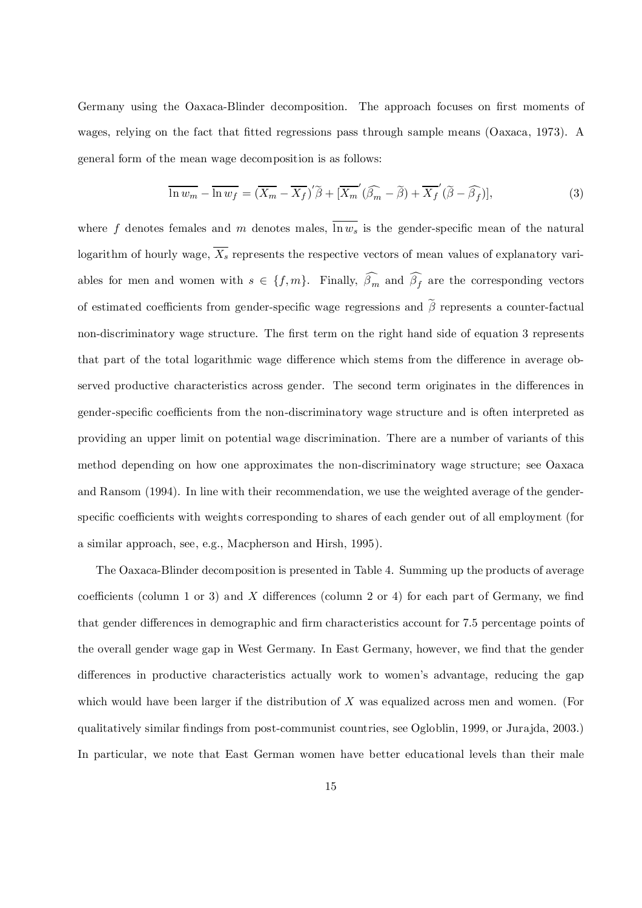Germany using the Oaxaca-Blinder decomposition. The approach focuses on first moments of wages, relying on the fact that fitted regressions pass through sample means (Oaxaca, 1973). A general form of the mean wage decomposition is as follows:

$$
\overline{\ln w_m} - \overline{\ln w_f} = (\overline{X_m} - \overline{X_f})' \tilde{\beta} + [\overline{X_m}'(\widehat{\beta_m} - \tilde{\beta}) + \overline{X_f}'(\tilde{\beta} - \widehat{\beta_f})],\tag{3}
$$

where f denotes females and m denotes males,  $\overline{\ln w_s}$  is the gender-specific mean of the natural logarithm of hourly wage,  $\overline{X_s}$  represents the respective vectors of mean values of explanatory variables for men and women with  $s \in \{f, m\}$ . Finally,  $\beta_m$  and  $\beta_f$  are the corresponding vectors of estimated coefficients from gender-specific wage regressions and  $\tilde{\beta}$  represents a counter-factual non-discriminatory wage structure. The first term on the right hand side of equation 3 represents that part of the total logarithmic wage difference which stems from the difference in average observed productive characteristics across gender. The second term originates in the differences in gender-specific coefficients from the non-discriminatory wage structure and is often interpreted as providing an upper limit on potential wage discrimination. There are a number of variants of this method depending on how one approximates the non-discriminatory wage structure; see Oaxaca and Ransom (1994). In line with their recommendation, we use the weighted average of the genderspecific coefficients with weights corresponding to shares of each gender out of all employment (for a similar approach, see, e.g., Macpherson and Hirsh, 1995).

The Oaxaca-Blinder decomposition is presented in Table 4. Summing up the products of average coefficients (column 1 or 3) and X differences (column 2 or 4) for each part of Germany, we find that gender differences in demographic and firm characteristics account for 7.5 percentage points of the overall gender wage gap in West Germany. In East Germany, however, we find that the gender differences in productive characteristics actually work to women's advantage, reducing the gap which would have been larger if the distribution of X was equalized across men and women. (For qualitatively similar findings from post-communist countries, see Ogloblin, 1999, or Jurajda, 2003.) In particular, we note that East German women have better educational levels than their male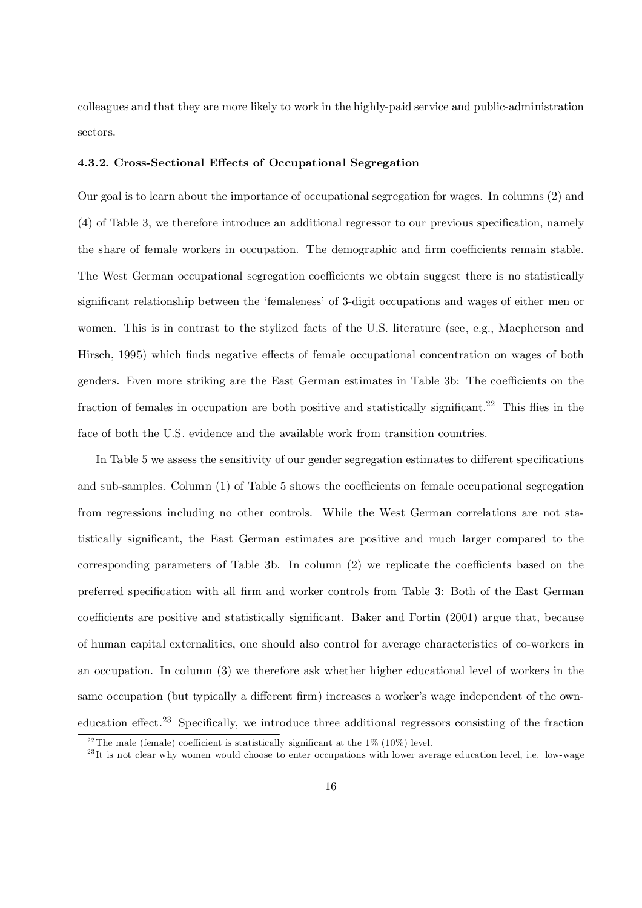colleagues and that they are more likely to work in the highly-paid service and public-administration sectors.

#### 4.3.2. Cross-Sectional Effects of Occupational Segregation

Our goal is to learn about the importance of occupational segregation for wages. In columns (2) and  $(4)$  of Table 3, we therefore introduce an additional regressor to our previous specification, namely the share of female workers in occupation. The demographic and firm coefficients remain stable. The West German occupational segregation coefficients we obtain suggest there is no statistically significant relationship between the 'femaleness' of 3-digit occupations and wages of either men or women. This is in contrast to the stylized facts of the U.S. literature (see, e.g., Macpherson and Hirsch, 1995) which finds negative effects of female occupational concentration on wages of both genders. Even more striking are the East German estimates in Table 3b: The coefficients on the fraction of females in occupation are both positive and statistically significant.<sup>22</sup> This flies in the face of both the U.S. evidence and the available work from transition countries.

In Table 5 we assess the sensitivity of our gender segregation estimates to different specifications and sub-samples. Column  $(1)$  of Table 5 shows the coefficients on female occupational segregation from regressions including no other controls. While the West German correlations are not statistically significant, the East German estimates are positive and much larger compared to the corresponding parameters of Table 3b. In column  $(2)$  we replicate the coefficients based on the preferred specification with all firm and worker controls from Table 3: Both of the East German coefficients are positive and statistically significant. Baker and Fortin (2001) argue that, because of human capital externalities, one should also control for average characteristics of co-workers in an occupation. In column (3) we therefore ask whether higher educational level of workers in the same occupation (but typically a different firm) increases a worker's wage independent of the owneducation effect.<sup>23</sup> Specifically, we introduce three additional regressors consisting of the fraction

<sup>&</sup>lt;sup>22</sup>The male (female) coefficient is statistically significant at the 1% (10%) level.

 $^{23}$ It is not clear why women would choose to enter occupations with lower average education level, i.e. low-wage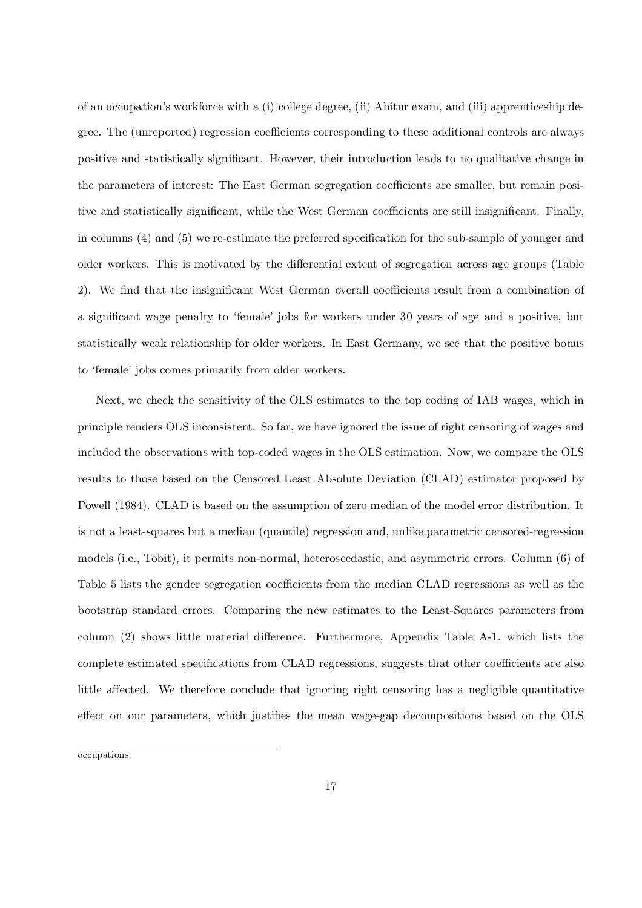of an occupation's workforce with a (i) college degree, (ii) Abitur exam, and (iii) apprenticeship degree. The (unreported) regression coefficients corresponding to these additional controls are always positive and statistically significant. However, their introduction leads to no qualitative change in the parameters of interest: The East German segregation coefficients are smaller, but remain positive and statistically significant, while the West German coefficients are still insignificant. Finally, in columns  $(4)$  and  $(5)$  we re-estimate the preferred specification for the sub-sample of younger and older workers. This is motivated by the differential extent of segregation across age groups (Table 2). We find that the insignificant West German overall coefficients result from a combination of a significant wage penalty to 'female' jobs for workers under 30 years of age and a positive, but statistically weak relationship for older workers. In East Germany, we see that the positive bonus to 'female' jobs comes primarily from older workers.

Next, we check the sensitivity of the OLS estimates to the top coding of IAB wages, which in principle renders OLS inconsistent. So far, we have ignored the issue of right censoring of wages and included the observations with top-coded wages in the OLS estimation. Now, we compare the OLS results to those based on the Censored Least Absolute Deviation (CLAD) estimator proposed by Powell (1984). CLAD is based on the assumption of zero median of the model error distribution. It is not a least-squares but a median (quantile) regression and, unlike parametric censored-regression models (i.e., Tobit), it permits non-normal, heteroscedastic, and asymmetric errors. Column (6) of Table 5 lists the gender segregation coefficients from the median CLAD regressions as well as the bootstrap standard errors. Comparing the new estimates to the Least-Squares parameters from column (2) shows little material difference. Furthermore, Appendix Table A-1, which lists the complete estimated specifications from CLAD regressions, suggests that other coefficients are also little affected. We therefore conclude that ignoring right censoring has a negligible quantitative effect on our parameters, which justifies the mean wage-gap decompositions based on the OLS

occupations.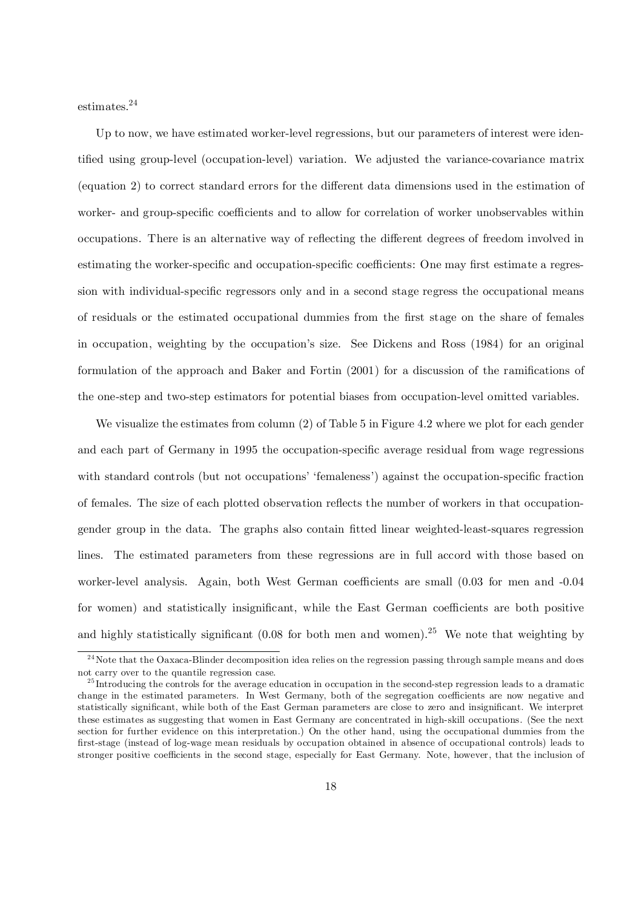estimates. 24

Up to now, we have estimated worker-level regressions, but our parameters of interest were identified using group-level (occupation-level) variation. We adjusted the variance-covariance matrix (equation 2) to correct standard errors for the different data dimensions used in the estimation of worker- and group-specific coefficients and to allow for correlation of worker unobservables within occupations. There is an alternative way of reflecting the different degrees of freedom involved in estimating the worker-specific and occupation-specific coefficients: One may first estimate a regression with individual-specific regressors only and in a second stage regress the occupational means of residuals or the estimated occupational dummies from the first stage on the share of females in occupation, weighting by the occupation's size. See Dickens and Ross (1984) for an original formulation of the approach and Baker and Fortin  $(2001)$  for a discussion of the ramifications of the one-step and two-step estimators for potential biases from occupation-level omitted variables.

We visualize the estimates from column (2) of Table 5 in Figure 4.2 where we plot for each gender and each part of Germany in 1995 the occupation-specific average residual from wage regressions with standard controls (but not occupations' 'femaleness') against the occupation-specific fraction of females. The size of each plotted observation reflects the number of workers in that occupationgender group in the data. The graphs also contain fitted linear weighted-least-squares regression lines. The estimated parameters from these regressions are in full accord with those based on worker-level analysis. Again, both West German coefficients are small  $(0.03)$  for men and  $-0.04$ for women) and statistically insignificant, while the East German coefficients are both positive and highly statistically significant  $(0.08$  for both men and women).<sup>25</sup> We note that weighting by

<sup>&</sup>lt;sup>24</sup>Note that the Oaxaca-Blinder decomposition idea relies on the regression passing through sample means and does not carry over to the quantile regression case.

 $^{25}$ Introducing the controls for the average education in occupation in the second-step regression leads to a dramatic change in the estimated parameters. In West Germany, both of the segregation coefficients are now negative and statistically significant, while both of the East German parameters are close to zero and insignificant. We interpret these estimates as suggesting that women in East Germany are concentrated in high-skill occupations. (See the next section for further evidence on this interpretation.) On the other hand, using the occupational dummies from the first-stage (instead of log-wage mean residuals by occupation obtained in absence of occupational controls) leads to stronger positive coefficients in the second stage, especially for East Germany. Note, however, that the inclusion of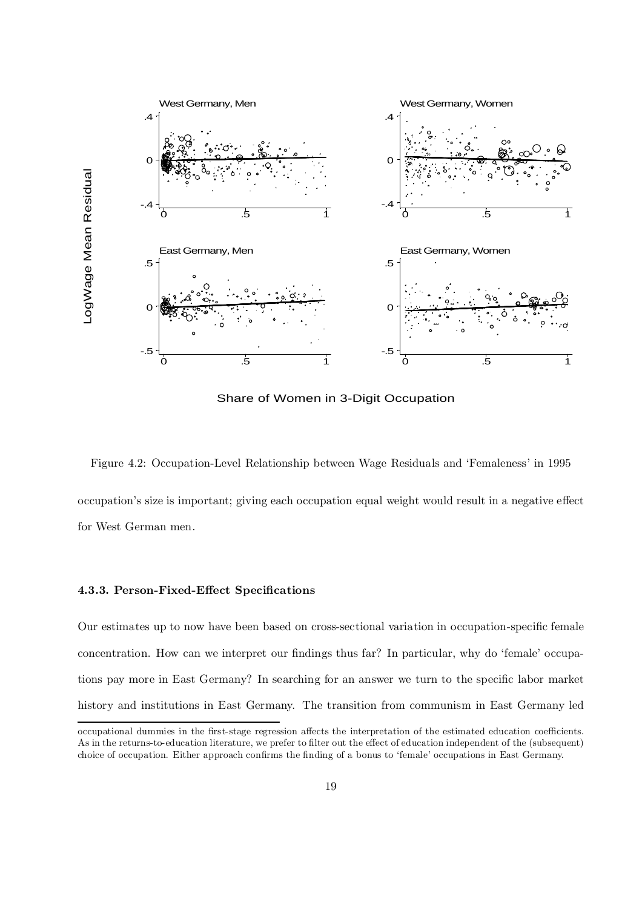

Share of Women in 3-Digit Occupation

Figure 4.2: Occupation-Level Relationship between Wage Residuals and 'Femaleness' in 1995

occupation's size is important; giving each occupation equal weight would result in a negative effect for West German men.

#### 4.3.3. Person-Fixed-Effect Specifications

Our estimates up to now have been based on cross-sectional variation in occupation-specific female concentration. How can we interpret our findings thus far? In particular, why do 'female' occupations pay more in East Germany? In searching for an answer we turn to the specific labor market history and institutions in East Germany. The transition from communism in East Germany led

occupational dummies in the first-stage regression affects the interpretation of the estimated education coefficients. As in the returns-to-education literature, we prefer to filter out the effect of education independent of the (subsequent) choice of occupation. Either approach confirms the finding of a bonus to 'female' occupations in East Germany.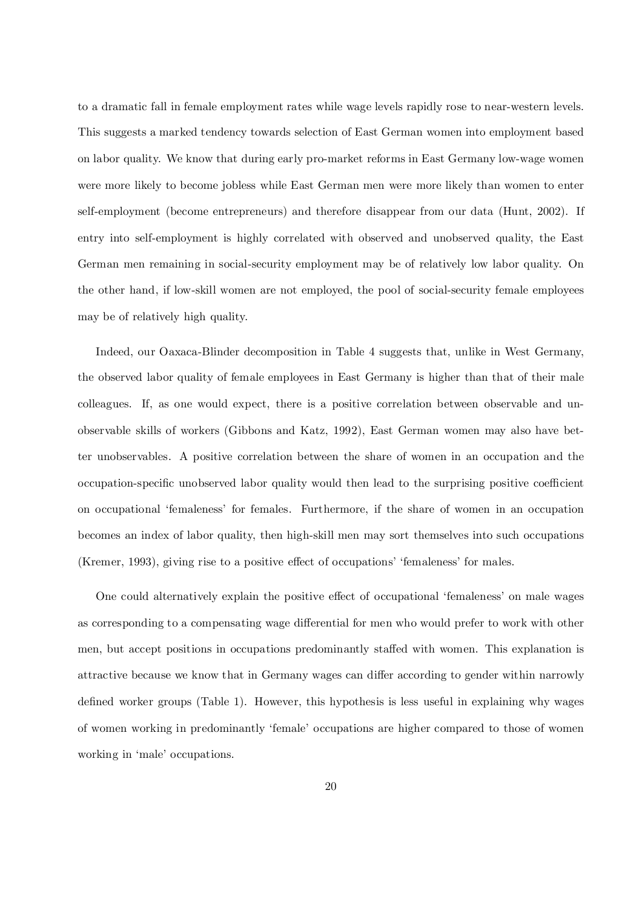to a dramatic fall in female employment rates while wage levels rapidly rose to near-western levels. This suggests a marked tendency towards selection of East German women into employment based on labor quality. We know that during early pro-market reforms in East Germany low-wage women were more likely to become jobless while East German men were more likely than women to enter self-employment (become entrepreneurs) and therefore disappear from our data (Hunt, 2002). If entry into self-employment is highly correlated with observed and unobserved quality, the East German men remaining in social-security employment may be of relatively low labor quality. On the other hand, if low-skill women are not employed, the pool of social-security female employees may be of relatively high quality.

Indeed, our Oaxaca-Blinder decomposition in Table 4 suggests that, unlike in West Germany, the observed labor quality of female employees in East Germany is higher than that of their male colleagues. If, as one would expect, there is a positive correlation between observable and unobservable skills of workers (Gibbons and Katz, 1992), East German women may also have better unobservables. A positive correlation between the share of women in an occupation and the occupation-specific unobserved labor quality would then lead to the surprising positive coefficient on occupational 'femaleness' for females. Furthermore, if the share of women in an occupation becomes an index of labor quality, then high-skill men may sort themselves into such occupations (Kremer, 1993), giving rise to a positive effect of occupations' 'femaleness' for males.

One could alternatively explain the positive effect of occupational 'femaleness' on male wages as corresponding to a compensating wage differential for men who would prefer to work with other men, but accept positions in occupations predominantly staffed with women. This explanation is attractive because we know that in Germany wages can differ according to gender within narrowly defined worker groups (Table 1). However, this hypothesis is less useful in explaining why wages of women working in predominantly 'female' occupations are higher compared to those of women working in 'male' occupations.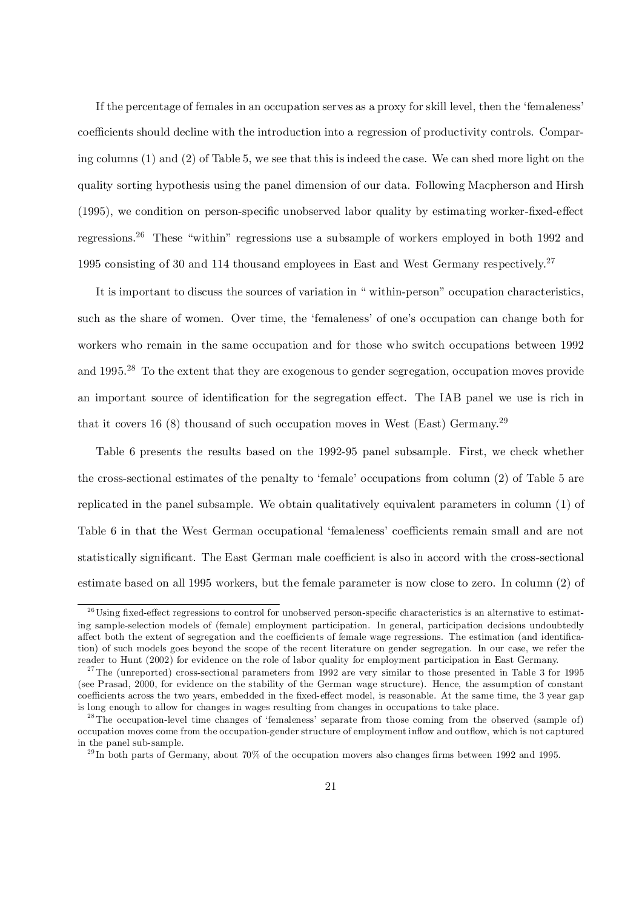If the percentage of females in an occupation serves as a proxy for skill level, then the 'femaleness' coefficients should decline with the introduction into a regression of productivity controls. Comparing columns (1) and (2) of Table 5, we see that this is indeed the case. We can shed more light on the quality sorting hypothesis using the panel dimension of our data. Following Macpherson and Hirsh  $(1995)$ , we condition on person-specific unobserved labor quality by estimating worker-fixed-effect regressions.<sup>26</sup> These "within" regressions use a subsample of workers employed in both 1992 and 1995 consisting of 30 and 114 thousand employees in East and West Germany respectively.<sup>27</sup>

It is important to discuss the sources of variation in " within-person" occupation characteristics, such as the share of women. Over time, the 'femaleness' of one's occupation can change both for workers who remain in the same occupation and for those who switch occupations between 1992 and 1995.<sup>28</sup> To the extent that they are exogenous to gender segregation, occupation moves provide an important source of identification for the segregation effect. The IAB panel we use is rich in that it covers 16 (8) thousand of such occupation moves in West (East) Germany.<sup>29</sup>

Table 6 presents the results based on the 1992-95 panel subsample. First, we check whether the cross-sectional estimates of the penalty to 'female' occupations from column (2) of Table 5 are replicated in the panel subsample. We obtain qualitatively equivalent parameters in column (1) of Table 6 in that the West German occupational 'femaleness' coefficients remain small and are not statistically significant. The East German male coefficient is also in accord with the cross-sectional estimate based on all 1995 workers, but the female parameter is now close to zero. In column (2) of

 $26$ Using fixed-effect regressions to control for unobserved person-specific characteristics is an alternative to estimating sample-selection models of (female) employment participation. In general, participation decisions undoubtedly affect both the extent of segregation and the coefficients of female wage regressions. The estimation (and identification) of such models goes beyond the scope of the recent literature on gender segregation. In our case, we refer the reader to Hunt (2002) for evidence on the role of labor quality for employment participation in East Germany.

<sup>&</sup>lt;sup>27</sup>The (unreported) cross-sectional parameters from 1992 are very similar to those presented in Table 3 for 1995 (see Prasad, 2000, for evidence on the stability of the German wage structure). Hence, the assumption of constant coefficients across the two years, embedded in the fixed-effect model, is reasonable. At the same time, the 3 year gap is long enough to allow for changes in wages resulting from changes in occupations to take place.

 $^{28}$ The occupation-level time changes of 'femaleness' separate from those coming from the observed (sample of) occupation moves come from the occupation-gender structure of employment inflow and outflow, which is not captured in the panel sub-sample.

<sup>&</sup>lt;sup>29</sup>In both parts of Germany, about 70% of the occupation movers also changes firms between 1992 and 1995.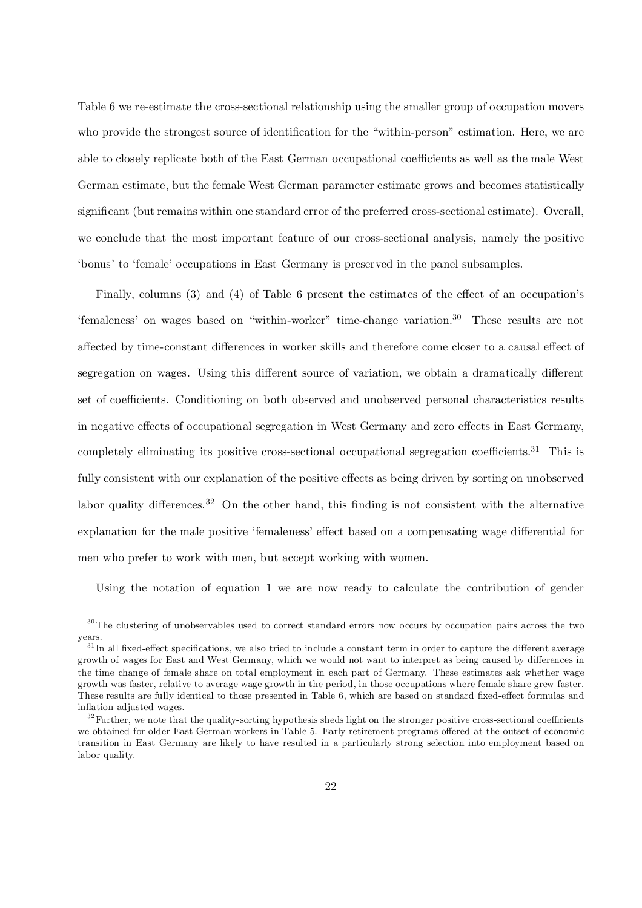Table 6 we re-estimate the cross-sectional relationship using the smaller group of occupation movers who provide the strongest source of identification for the "within-person" estimation. Here, we are able to closely replicate both of the East German occupational coefficients as well as the male West German estimate, but the female West German parameter estimate grows and becomes statistically significant (but remains within one standard error of the preferred cross-sectional estimate). Overall, we conclude that the most important feature of our cross-sectional analysis, namely the positive 'bonus' to 'female' occupations in East Germany is preserved in the panel subsamples.

Finally, columns  $(3)$  and  $(4)$  of Table 6 present the estimates of the effect of an occupation's 'femaleness' on wages based on "within-worker" time-change variation. <sup>30</sup> These results are not affected by time-constant differences in worker skills and therefore come closer to a causal effect of segregation on wages. Using this different source of variation, we obtain a dramatically different set of coefficients. Conditioning on both observed and unobserved personal characteristics results in negative effects of occupational segregation in West Germany and zero effects in East Germany, completely eliminating its positive cross-sectional occupational segregation coefficients.<sup>31</sup> This is fully consistent with our explanation of the positive effects as being driven by sorting on unobserved labor quality differences.<sup>32</sup> On the other hand, this finding is not consistent with the alternative explanation for the male positive 'femaleness' effect based on a compensating wage differential for men who prefer to work with men, but accept working with women.

Using the notation of equation 1 we are now ready to calculate the contribution of gender

<sup>&</sup>lt;sup>30</sup>The clustering of unobservables used to correct standard errors now occurs by occupation pairs across the two years.

 $31$ In all fixed-effect specifications, we also tried to include a constant term in order to capture the different average growth of wages for East and West Germany, which we would not want to interpret as being caused by differences in the time change of female share on total employment in each part of Germany. These estimates ask whether wage growth was faster, relative to average wage growth in the period, in those occupations where female share grew faster. These results are fully identical to those presented in Table 6, which are based on standard fixed-effect formulas and inflation-adjusted wages.

 $32$  Further, we note that the quality-sorting hypothesis sheds light on the stronger positive cross-sectional coefficients we obtained for older East German workers in Table 5. Early retirement programs offered at the outset of economic transition in East Germany are likely to have resulted in a particularly strong selection into employment based on labor quality.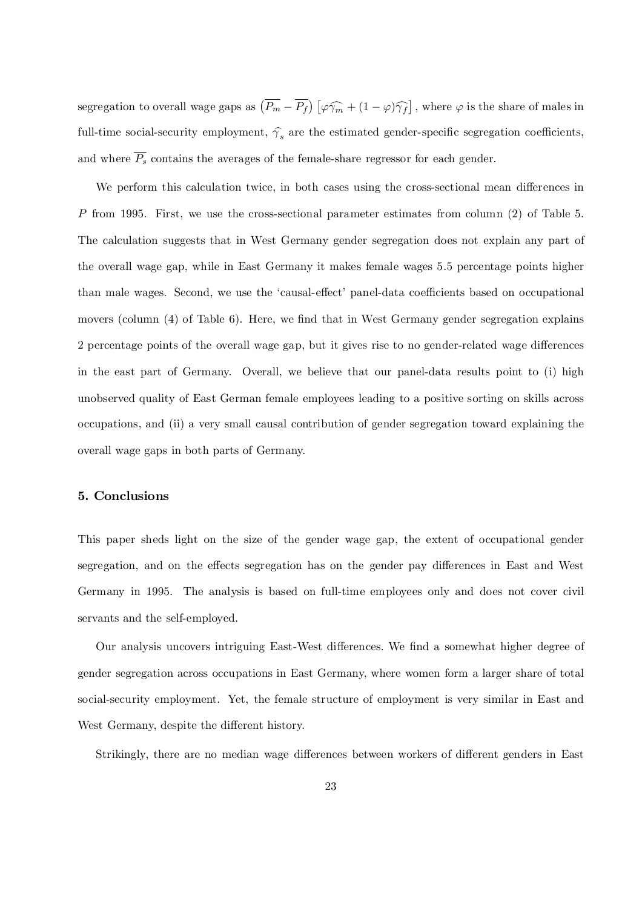segregation to overall wage gaps as  $(\overline{P_m} - \overline{P_f}) [\varphi \widehat{\gamma_m} + (1 - \varphi) \widehat{\gamma_f}]$ , where  $\varphi$  is the share of males in full-time social-security employment,  $\hat{\gamma_s}$  are the estimated gender-specific segregation coefficients, and where  $\overline{P_s}$  contains the averages of the female-share regressor for each gender.

We perform this calculation twice, in both cases using the cross-sectional mean differences in P from 1995. First, we use the cross-sectional parameter estimates from column (2) of Table 5. The calculation suggests that in West Germany gender segregation does not explain any part of the overall wage gap, while in East Germany it makes female wages 5.5 percentage points higher than male wages. Second, we use the 'causal-effect' panel-data coefficients based on occupational movers (column  $(4)$  of Table 6). Here, we find that in West Germany gender segregation explains 2 percentage points of the overall wage gap, but it gives rise to no gender-related wage differences in the east part of Germany. Overall, we believe that our panel-data results point to (i) high unobserved quality of East German female employees leading to a positive sorting on skills across occupations, and (ii) a very small causal contribution of gender segregation toward explaining the overall wage gaps in both parts of Germany.

#### 5. Conclusions

This paper sheds light on the size of the gender wage gap, the extent of occupational gender segregation, and on the effects segregation has on the gender pay differences in East and West Germany in 1995. The analysis is based on full-time employees only and does not cover civil servants and the self-employed.

Our analysis uncovers intriguing East-West differences. We find a somewhat higher degree of gender segregation across occupations in East Germany, where women form a larger share of total social-security employment. Yet, the female structure of employment is very similar in East and West Germany, despite the different history.

Strikingly, there are no median wage differences between workers of different genders in East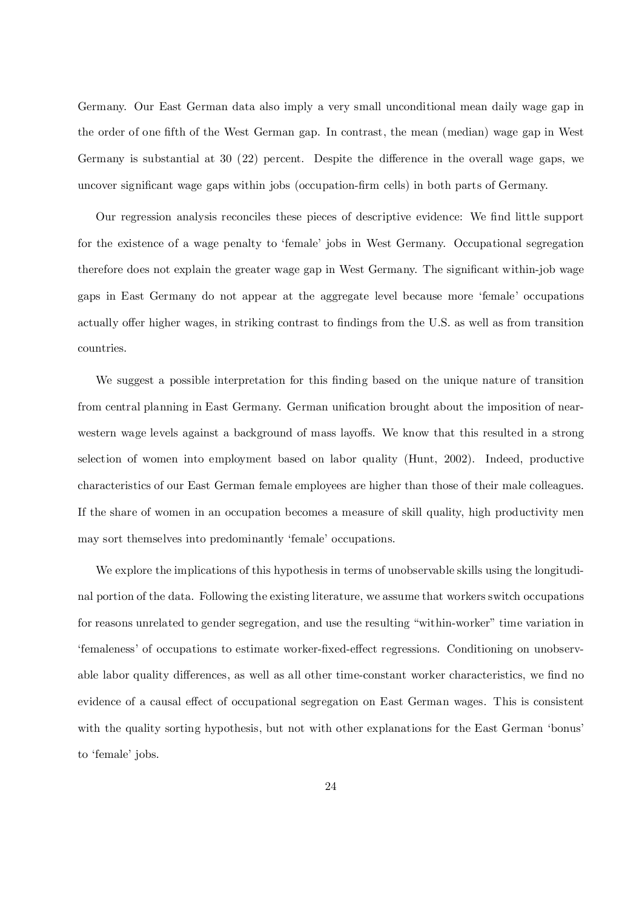Germany. Our East German data also imply a very small unconditional mean daily wage gap in the order of one fifth of the West German gap. In contrast, the mean (median) wage gap in West Germany is substantial at 30 (22) percent. Despite the difference in the overall wage gaps, we uncover significant wage gaps within jobs (occupation-firm cells) in both parts of Germany.

Our regression analysis reconciles these pieces of descriptive evidence: We find little support for the existence of a wage penalty to 'female' jobs in West Germany. Occupational segregation therefore does not explain the greater wage gap in West Germany. The significant within-job wage gaps in East Germany do not appear at the aggregate level because more 'female' occupations actually offer higher wages, in striking contrast to findings from the U.S. as well as from transition countries.

We suggest a possible interpretation for this finding based on the unique nature of transition from central planning in East Germany. German unification brought about the imposition of nearwestern wage levels against a background of mass layoffs. We know that this resulted in a strong selection of women into employment based on labor quality (Hunt, 2002). Indeed, productive characteristics of our East German female employees are higher than those of their male colleagues. If the share of women in an occupation becomes a measure of skill quality, high productivity men may sort themselves into predominantly 'female' occupations.

We explore the implications of this hypothesis in terms of unobservable skills using the longitudinal portion of the data. Following the existing literature, we assume that workers switch occupations for reasons unrelated to gender segregation, and use the resulting "within-worker" time variation in 'femaleness' of occupations to estimate worker-fixed-effect regressions. Conditioning on unobservable labor quality differences, as well as all other time-constant worker characteristics, we find no evidence of a causal effect of occupational segregation on East German wages. This is consistent with the quality sorting hypothesis, but not with other explanations for the East German 'bonus' to 'female' jobs.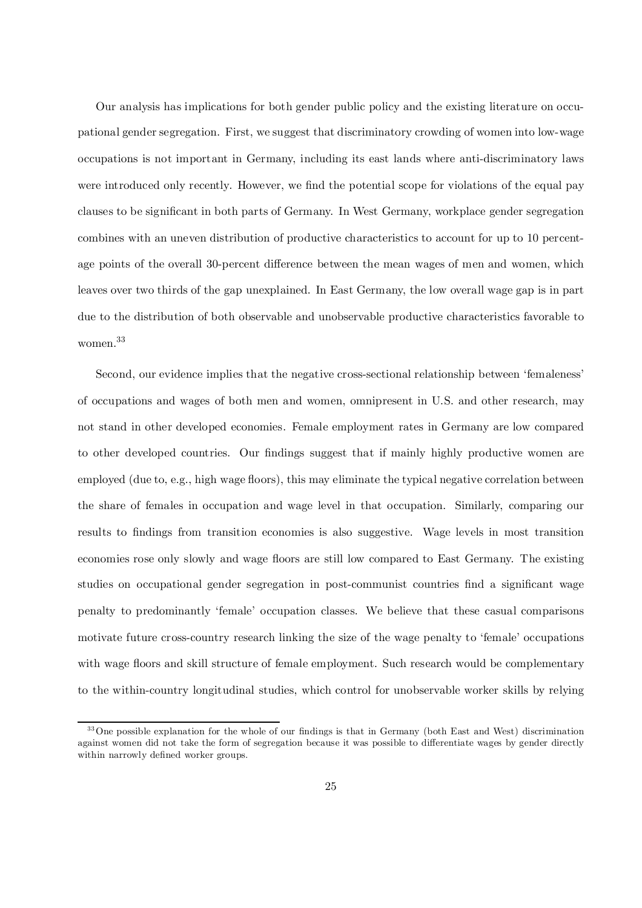Our analysis has implications for both gender public policy and the existing literature on occupational gender segregation. First, we suggest that discriminatory crowding of women into low-wage occupations is not important in Germany, including its east lands where anti-discriminatory laws were introduced only recently. However, we find the potential scope for violations of the equal pay clauses to be significant in both parts of Germany. In West Germany, workplace gender segregation combines with an uneven distribution of productive characteristics to account for up to 10 percentage points of the overall 30-percent difference between the mean wages of men and women, which leaves over two thirds of the gap unexplained. In East Germany, the low overall wage gap is in part due to the distribution of both observable and unobservable productive characteristics favorable to women. 33

Second, our evidence implies that the negative cross-sectional relationship between 'femaleness' of occupations and wages of both men and women, omnipresent in U.S. and other research, may not stand in other developed economies. Female employment rates in Germany are low compared to other developed countries. Our findings suggest that if mainly highly productive women are employed (due to, e.g., high wage floors), this may eliminate the typical negative correlation between the share of females in occupation and wage level in that occupation. Similarly, comparing our results to findings from transition economies is also suggestive. Wage levels in most transition economies rose only slowly and wage floors are still low compared to East Germany. The existing studies on occupational gender segregation in post-communist countries find a significant wage penalty to predominantly 'female' occupation classes. We believe that these casual comparisons motivate future cross-country research linking the size of the wage penalty to 'female' occupations with wage floors and skill structure of female employment. Such research would be complementary to the within-country longitudinal studies, which control for unobservable worker skills by relying

 $33$ One possible explanation for the whole of our findings is that in Germany (both East and West) discrimination against women did not take the form of segregation because it was possible to differentiate wages by gender directly within narrowly defined worker groups.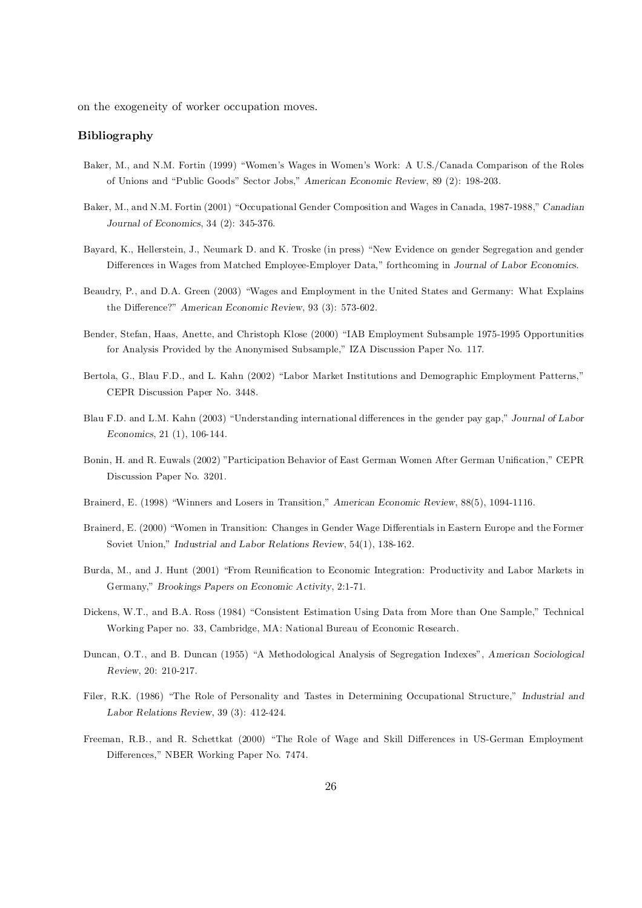on the exogeneity of worker occupation moves.

#### Bibliography

- Baker, M., and N.M. Fortin (1999) "Women's Wages in Women's Work: A U.S./Canada Comparison of the Roles of Unions and "Public Goods" Sector Jobs," American Economic Review, 89 (2): 198-203.
- Baker, M., and N.M. Fortin (2001) "Occupational Gender Composition and Wages in Canada, 1987-1988," Canadian Journal of Economics, 34 (2): 345-376.
- Bayard, K., Hellerstein, J., Neumark D. and K. Troske (in press) "New Evidence on gender Segregation and gender Differences in Wages from Matched Employee-Employer Data," forthcoming in Journal of Labor Economics.
- Beaudry, P., and D.A. Green (2003) "Wages and Employment in the United States and Germany: What Explains the Difference?" American Economic Review, 93 (3): 573-602.
- Bender, Stefan, Haas, Anette, and Christoph Klose (2000) "IAB Employment Subsample 1975-1995 Opportunities for Analysis Provided by the Anonymised Subsample," IZA Discussion Paper No. 117.
- Bertola, G., Blau F.D., and L. Kahn (2002) "Labor Market Institutions and Demographic Employment Patterns," CEPR Discussion Paper No. 3448.
- Blau F.D. and L.M. Kahn (2003) "Understanding international differences in the gender pay gap," Journal of Labor Economics, 21 (1), 106-144.
- Bonin, H. and R. Euwals (2002) "Participation Behavior of East German Women After German Unification," CEPR Discussion Paper No. 3201.
- Brainerd, E. (1998) "Winners and Losers in Transition," American Economic Review, 88(5), 1094-1116.
- Brainerd, E. (2000) "Women in Transition: Changes in Gender Wage Differentials in Eastern Europe and the Former Soviet Union," Industrial and Labor Relations Review, 54(1), 138-162.
- Burda, M., and J. Hunt (2001) "From Reunification to Economic Integration: Productivity and Labor Markets in Germany," Brookings Papers on Economic Activity, 2:1-71.
- Dickens, W.T., and B.A. Ross (1984) "Consistent Estimation Using Data from More than One Sample," Technical Working Paper no. 33, Cambridge, MA: National Bureau of Economic Research.
- Duncan, O.T., and B. Duncan (1955) "A Methodological Analysis of Segregation Indexes", American Sociological Review, 20: 210-217.
- Filer, R.K. (1986) "The Role of Personality and Tastes in Determining Occupational Structure," Industrial and Labor Relations Review, 39 (3): 412-424.
- Freeman, R.B., and R. Schettkat (2000) "The Role of Wage and Skill Differences in US-German Employment Differences," NBER Working Paper No. 7474.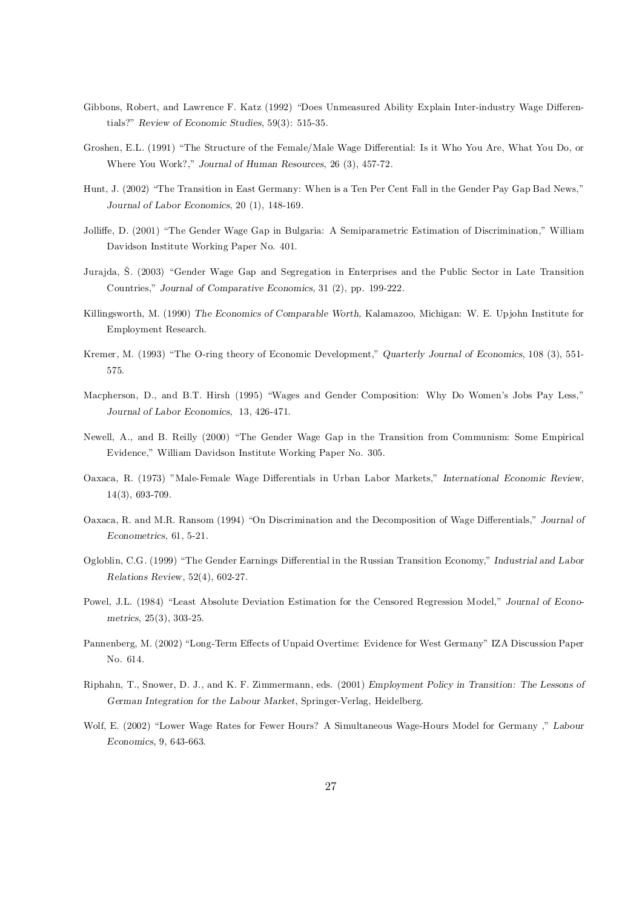- Gibbons, Robert, and Lawrence F. Katz (1992) "Does Unmeasured Ability Explain Inter-industry Wage Differentials?" Review of Economic Studies, 59(3): 515-35.
- Groshen, E.L. (1991) "The Structure of the Female/Male Wage Differential: Is it Who You Are, What You Do, or Where You Work?," Journal of Human Resources, 26 (3), 457-72.
- Hunt, J. (2002) "The Transition in East Germany: When is a Ten Per Cent Fall in the Gender Pay Gap Bad News," Journal of Labor Economics, 20 (1), 148-169.
- Jolliffe, D. (2001) "The Gender Wage Gap in Bulgaria: A Semiparametric Estimation of Discrimination," William Davidson Institute Working Paper No. 401.
- Jurajda, Š. (2003) "Gender Wage Gap and Segregation in Enterprises and the Public Sector in Late Transition Countries," Journal of Comparative Economics, 31 (2), pp. 199-222.
- Killingsworth, M. (1990) The Economics of Comparable Worth, Kalamazoo, Michigan: W. E. Upjohn Institute for Employment Research.
- Kremer, M. (1993) "The O-ring theory of Economic Development," Quarterly Journal of Economics, 108 (3), 551- 575.
- Macpherson, D., and B.T. Hirsh (1995) "Wages and Gender Composition: Why Do Women's Jobs Pay Less," Journal of Labor Economics, 13, 426-471.
- Newell, A., and B. Reilly (2000) "The Gender Wage Gap in the Transition from Communism: Some Empirical Evidence," William Davidson Institute Working Paper No. 305.
- Oaxaca, R. (1973) "Male-Female Wage Differentials in Urban Labor Markets," International Economic Review, 14(3), 693-709.
- Oaxaca, R. and M.R. Ransom (1994) "On Discrimination and the Decomposition of Wage Differentials," Journal of Econometrics, 61, 5-21.
- Ogloblin, C.G. (1999) "The Gender Earnings Differential in the Russian Transition Economy," Industrial and Labor Relations Review, 52(4), 602-27.
- Powel, J.L. (1984) "Least Absolute Deviation Estimation for the Censored Regression Model," Journal of Econometrics, 25(3), 303-25.
- Pannenberg, M. (2002) "Long-Term Effects of Unpaid Overtime: Evidence for West Germany" IZA Discussion Paper No. 614.
- Riphahn, T., Snower, D. J., and K. F. Zimmermann, eds. (2001) Employment Policy in Transition: The Lessons of German Integration for the Labour Market, Springer-Verlag, Heidelberg.
- Wolf, E. (2002) "Lower Wage Rates for Fewer Hours? A Simultaneous Wage-Hours Model for Germany ," Labour Economics, 9, 643-663.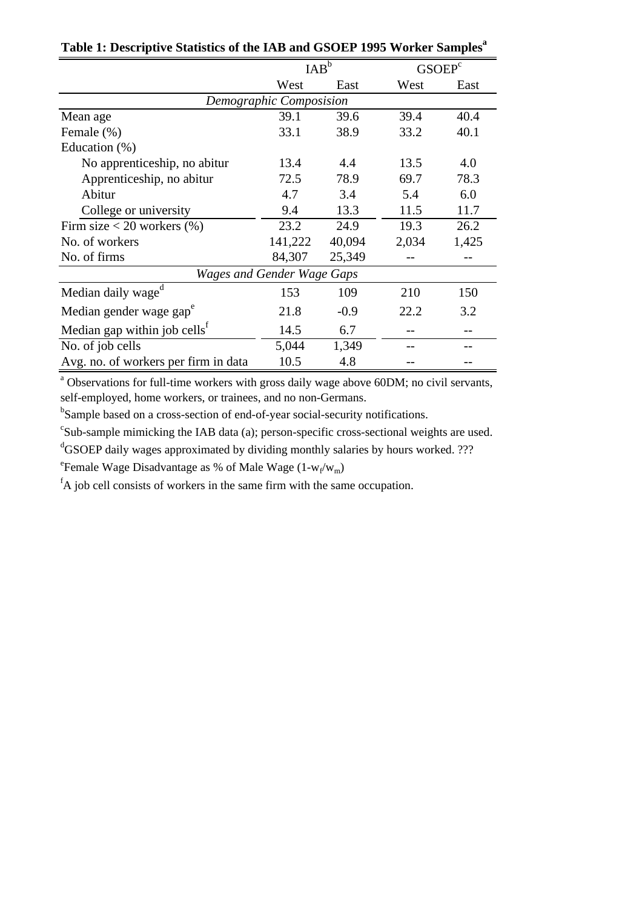|                                          | $IAB^b$                 |        | GSOEP <sup>c</sup> |       |
|------------------------------------------|-------------------------|--------|--------------------|-------|
|                                          | West                    | East   | West               | East  |
|                                          | Demographic Composision |        |                    |       |
| Mean age                                 | 39.1                    | 39.6   | 39.4               | 40.4  |
| Female (%)                               | 33.1                    | 38.9   | 33.2               | 40.1  |
| Education $(\%)$                         |                         |        |                    |       |
| No apprenticeship, no abitur             | 13.4                    | 4.4    | 13.5               | 4.0   |
| Apprenticeship, no abitur                | 72.5                    | 78.9   | 69.7               | 78.3  |
| Abitur                                   | 4.7                     | 3.4    | 5.4                | 6.0   |
| College or university                    | 9.4                     | 13.3   | 11.5               | 11.7  |
| Firm size $<$ 20 workers $(\%)$          | 23.2                    | 24.9   | 19.3               | 26.2  |
| No. of workers                           | 141,222                 | 40,094 | 2,034              | 1,425 |
| No. of firms                             | 84,307                  | 25,349 |                    |       |
| <b>Wages and Gender Wage Gaps</b>        |                         |        |                    |       |
| Median daily wage <sup>d</sup>           | 153                     | 109    | 210                | 150   |
| Median gender wage gap <sup>e</sup>      | 21.8                    | $-0.9$ | 22.2               | 3.2   |
| Median gap within job cells <sup>f</sup> | 14.5                    | 6.7    |                    |       |
| No. of job cells                         | 5,044                   | 1,349  |                    |       |
| Avg. no. of workers per firm in data     | 10.5                    | 4.8    |                    |       |

**Table 1: Descriptive Statistics of the IAB and GSOEP 1995 Worker Samples<sup>a</sup>**

<sup>a</sup> Observations for full-time workers with gross daily wage above 60DM; no civil servants, self-employed, home workers, or trainees, and no non-Germans.

<sup>b</sup>Sample based on a cross-section of end-of-year social-security notifications.

<sup>c</sup>Sub-sample mimicking the IAB data (a); person-specific cross-sectional weights are used.

<sup>d</sup>GSOEP daily wages approximated by dividing monthly salaries by hours worked. ???

<sup>e</sup> Female Wage Disadvantage as % of Male Wage  $(1-w_f/w_m)$ 

 ${}^{\text{f}}$ A job cell consists of workers in the same firm with the same occupation.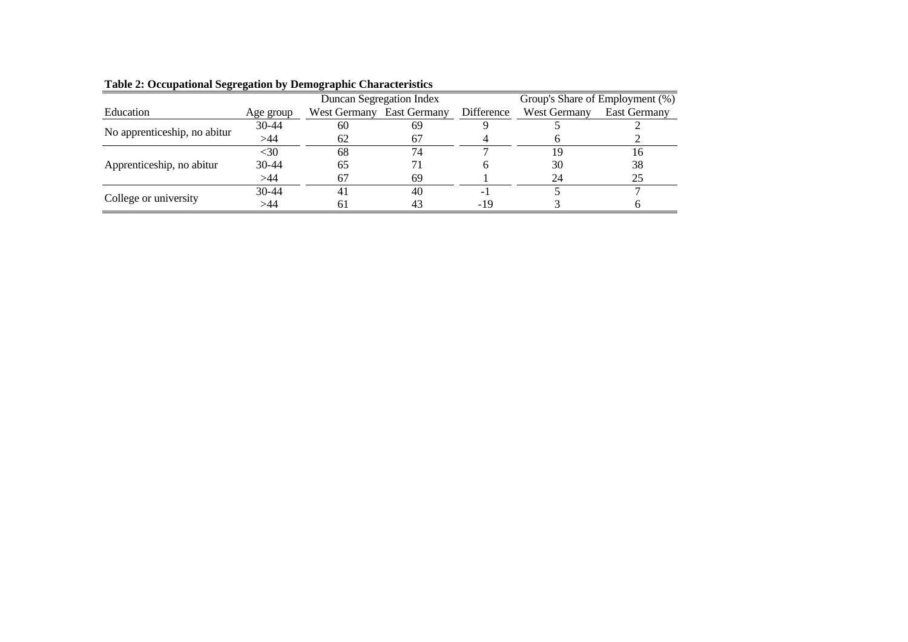| Education                    | Age group                                                                                                                                                           | West Germany | <b>East Germany</b>                                                                | Difference | West Germany | East Germany |
|------------------------------|---------------------------------------------------------------------------------------------------------------------------------------------------------------------|--------------|------------------------------------------------------------------------------------|------------|--------------|--------------|
|                              | Duncan Segregation Index<br>$30-44$<br>60<br>69<br>>44<br>62<br>67<br>$<$ 30<br>74<br>68<br>$30-44$<br>65<br>>44<br>67<br>69<br>$30 - 44$<br>40<br>$\overline{4}$ . |              |                                                                                    |            |              |              |
| No apprenticeship, no abitur |                                                                                                                                                                     |              | Group's Share of Employment (%)<br>19<br>38<br>30<br>25<br>24<br>$-19$<br>43<br>61 |            |              |              |
|                              |                                                                                                                                                                     |              |                                                                                    |            |              |              |
| Apprenticeship, no abitur    |                                                                                                                                                                     |              |                                                                                    |            |              |              |
|                              |                                                                                                                                                                     |              |                                                                                    |            |              |              |
|                              |                                                                                                                                                                     |              |                                                                                    |            |              |              |
| College or university        | >44                                                                                                                                                                 |              |                                                                                    |            |              |              |

#### **Table 2: Occupational Segregation by Demographic Characteristics**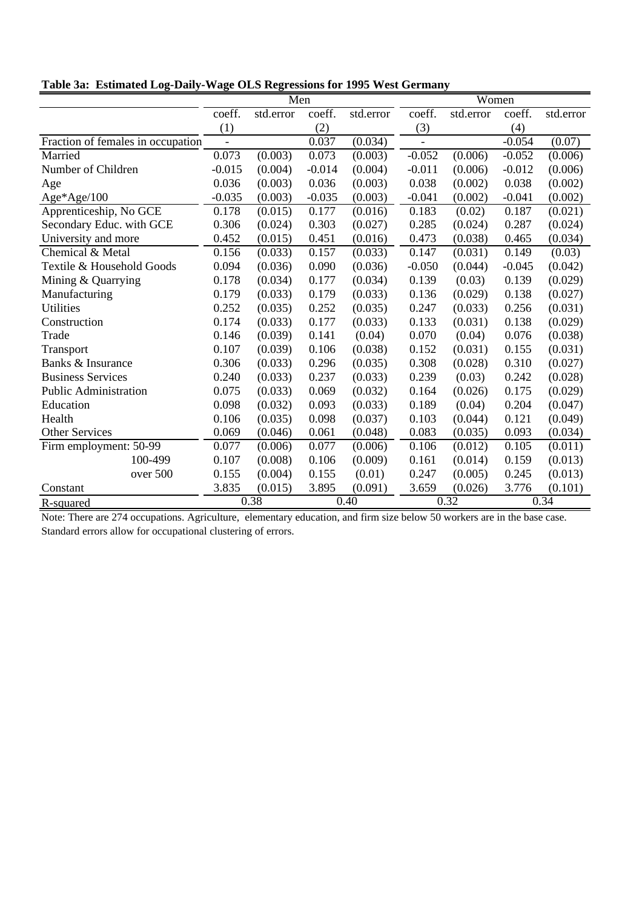|  |  |  |  |  |  | Table 3a: Estimated Log-Daily-Wage OLS Regressions for 1995 West Germany |
|--|--|--|--|--|--|--------------------------------------------------------------------------|
|--|--|--|--|--|--|--------------------------------------------------------------------------|

|                                   |                | Men       |          |           | Women    |                      |          |           |
|-----------------------------------|----------------|-----------|----------|-----------|----------|----------------------|----------|-----------|
|                                   | coeff.         | std.error | coeff.   | std.error | coeff.   | std.error            | coeff.   | std.error |
|                                   | (1)            |           | (2)      |           | (3)      |                      | (4)      |           |
| Fraction of females in occupation | $\overline{a}$ |           | 0.037    | (0.034)   |          |                      | $-0.054$ | (0.07)    |
| Married                           | 0.073          | (0.003)   | 0.073    | (0.003)   | $-0.052$ | (0.006)              | $-0.052$ | (0.006)   |
| Number of Children                | $-0.015$       | (0.004)   | $-0.014$ | (0.004)   | $-0.011$ | (0.006)              | $-0.012$ | (0.006)   |
| Age                               | 0.036          | (0.003)   | 0.036    | (0.003)   | 0.038    | (0.002)              | 0.038    | (0.002)   |
| $Age*Age/100$                     | $-0.035$       | (0.003)   | $-0.035$ | (0.003)   | $-0.041$ | (0.002)              | $-0.041$ | (0.002)   |
| Apprenticeship, No GCE            | 0.178          | (0.015)   | 0.177    | (0.016)   | 0.183    | (0.02)               | 0.187    | (0.021)   |
| Secondary Educ. with GCE          | 0.306          | (0.024)   | 0.303    | (0.027)   | 0.285    | (0.024)              | 0.287    | (0.024)   |
| University and more               | 0.452          | (0.015)   | 0.451    | (0.016)   | 0.473    | (0.038)              | 0.465    | (0.034)   |
| Chemical & Metal                  | 0.156          | (0.033)   | 0.157    | (0.033)   | 0.147    | $(0.03\overline{1})$ | 0.149    | (0.03)    |
| Textile & Household Goods         | 0.094          | (0.036)   | 0.090    | (0.036)   | $-0.050$ | (0.044)              | $-0.045$ | (0.042)   |
| Mining & Quarrying                | 0.178          | (0.034)   | 0.177    | (0.034)   | 0.139    | (0.03)               | 0.139    | (0.029)   |
| Manufacturing                     | 0.179          | (0.033)   | 0.179    | (0.033)   | 0.136    | (0.029)              | 0.138    | (0.027)   |
| <b>Utilities</b>                  | 0.252          | (0.035)   | 0.252    | (0.035)   | 0.247    | (0.033)              | 0.256    | (0.031)   |
| Construction                      | 0.174          | (0.033)   | 0.177    | (0.033)   | 0.133    | (0.031)              | 0.138    | (0.029)   |
| Trade                             | 0.146          | (0.039)   | 0.141    | (0.04)    | 0.070    | (0.04)               | 0.076    | (0.038)   |
| Transport                         | 0.107          | (0.039)   | 0.106    | (0.038)   | 0.152    | (0.031)              | 0.155    | (0.031)   |
| Banks & Insurance                 | 0.306          | (0.033)   | 0.296    | (0.035)   | 0.308    | (0.028)              | 0.310    | (0.027)   |
| <b>Business Services</b>          | 0.240          | (0.033)   | 0.237    | (0.033)   | 0.239    | (0.03)               | 0.242    | (0.028)   |
| <b>Public Administration</b>      | 0.075          | (0.033)   | 0.069    | (0.032)   | 0.164    | (0.026)              | 0.175    | (0.029)   |
| Education                         | 0.098          | (0.032)   | 0.093    | (0.033)   | 0.189    | (0.04)               | 0.204    | (0.047)   |
| Health                            | 0.106          | (0.035)   | 0.098    | (0.037)   | 0.103    | (0.044)              | 0.121    | (0.049)   |
| <b>Other Services</b>             | 0.069          | (0.046)   | 0.061    | (0.048)   | 0.083    | (0.035)              | 0.093    | (0.034)   |
| Firm employment: 50-99            | 0.077          | (0.006)   | 0.077    | (0.006)   | 0.106    | (0.012)              | 0.105    | (0.011)   |
| 100-499                           | 0.107          | (0.008)   | 0.106    | (0.009)   | 0.161    | (0.014)              | 0.159    | (0.013)   |
| over 500                          | 0.155          | (0.004)   | 0.155    | (0.01)    | 0.247    | (0.005)              | 0.245    | (0.013)   |
| Constant                          | 3.835          | (0.015)   | 3.895    | (0.091)   | 3.659    | (0.026)              | 3.776    | (0.101)   |
| R-squared                         |                | 0.38      |          | 0.40      |          | 0.32                 |          | 0.34      |

Note: There are 274 occupations. Agriculture, elementary education, and firm size below 50 workers are in the base case. Standard errors allow for occupational clustering of errors.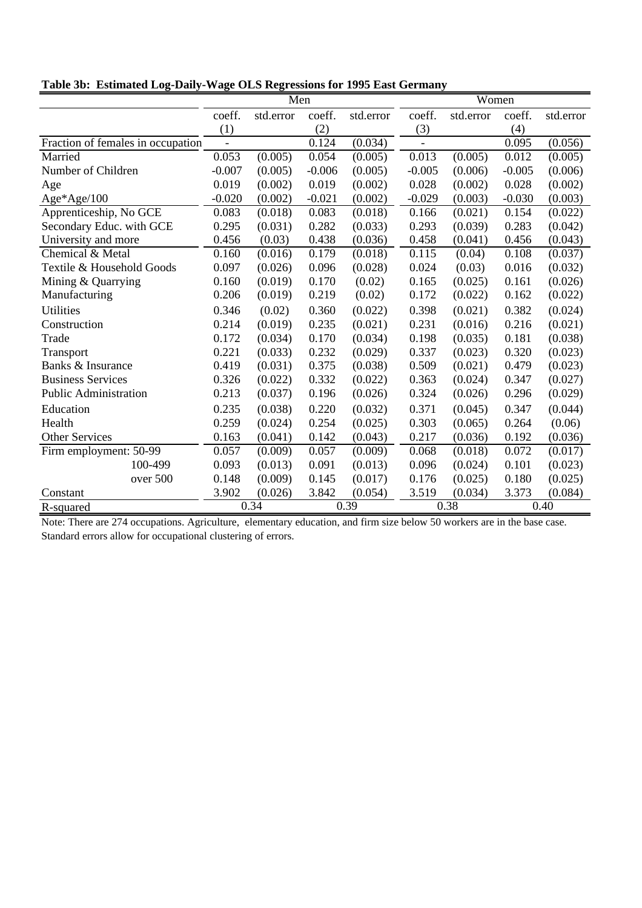|  |  |  |  | Table 3b: Estimated Log-Daily-Wage OLS Regressions for 1995 East Germany |  |  |
|--|--|--|--|--------------------------------------------------------------------------|--|--|
|--|--|--|--|--------------------------------------------------------------------------|--|--|

|                                   |                | Men       |          |           | Women          |           |          |           |
|-----------------------------------|----------------|-----------|----------|-----------|----------------|-----------|----------|-----------|
|                                   | coeff.         | std.error | coeff.   | std.error | coeff.         | std.error | coeff.   | std.error |
|                                   | (1)            |           | (2)      |           | (3)            |           | (4)      |           |
| Fraction of females in occupation | $\blacksquare$ |           | 0.124    | (0.034)   | $\overline{a}$ |           | 0.095    | (0.056)   |
| Married                           | 0.053          | (0.005)   | 0.054    | (0.005)   | 0.013          | (0.005)   | 0.012    | (0.005)   |
| Number of Children                | $-0.007$       | (0.005)   | $-0.006$ | (0.005)   | $-0.005$       | (0.006)   | $-0.005$ | (0.006)   |
| Age                               | 0.019          | (0.002)   | 0.019    | (0.002)   | 0.028          | (0.002)   | 0.028    | (0.002)   |
| Age*Age/100                       | $-0.020$       | (0.002)   | $-0.021$ | (0.002)   | $-0.029$       | (0.003)   | $-0.030$ | (0.003)   |
| Apprenticeship, No GCE            | 0.083          | (0.018)   | 0.083    | (0.018)   | 0.166          | (0.021)   | 0.154    | (0.022)   |
| Secondary Educ. with GCE          | 0.295          | (0.031)   | 0.282    | (0.033)   | 0.293          | (0.039)   | 0.283    | (0.042)   |
| University and more               | 0.456          | (0.03)    | 0.438    | (0.036)   | 0.458          | (0.041)   | 0.456    | (0.043)   |
| Chemical & Metal                  | 0.160          | (0.016)   | 0.179    | (0.018)   | 0.115          | (0.04)    | 0.108    | (0.037)   |
| Textile & Household Goods         | 0.097          | (0.026)   | 0.096    | (0.028)   | 0.024          | (0.03)    | 0.016    | (0.032)   |
| Mining & Quarrying                | 0.160          | (0.019)   | 0.170    | (0.02)    | 0.165          | (0.025)   | 0.161    | (0.026)   |
| Manufacturing                     | 0.206          | (0.019)   | 0.219    | (0.02)    | 0.172          | (0.022)   | 0.162    | (0.022)   |
| <b>Utilities</b>                  | 0.346          | (0.02)    | 0.360    | (0.022)   | 0.398          | (0.021)   | 0.382    | (0.024)   |
| Construction                      | 0.214          | (0.019)   | 0.235    | (0.021)   | 0.231          | (0.016)   | 0.216    | (0.021)   |
| Trade                             | 0.172          | (0.034)   | 0.170    | (0.034)   | 0.198          | (0.035)   | 0.181    | (0.038)   |
| Transport                         | 0.221          | (0.033)   | 0.232    | (0.029)   | 0.337          | (0.023)   | 0.320    | (0.023)   |
| Banks & Insurance                 | 0.419          | (0.031)   | 0.375    | (0.038)   | 0.509          | (0.021)   | 0.479    | (0.023)   |
| <b>Business Services</b>          | 0.326          | (0.022)   | 0.332    | (0.022)   | 0.363          | (0.024)   | 0.347    | (0.027)   |
| <b>Public Administration</b>      | 0.213          | (0.037)   | 0.196    | (0.026)   | 0.324          | (0.026)   | 0.296    | (0.029)   |
| Education                         | 0.235          | (0.038)   | 0.220    | (0.032)   | 0.371          | (0.045)   | 0.347    | (0.044)   |
| Health                            | 0.259          | (0.024)   | 0.254    | (0.025)   | 0.303          | (0.065)   | 0.264    | (0.06)    |
| <b>Other Services</b>             | 0.163          | (0.041)   | 0.142    | (0.043)   | 0.217          | (0.036)   | 0.192    | (0.036)   |
| Firm employment: 50-99            | 0.057          | (0.009)   | 0.057    | (0.009)   | 0.068          | (0.018)   | 0.072    | (0.017)   |
| 100-499                           | 0.093          | (0.013)   | 0.091    | (0.013)   | 0.096          | (0.024)   | 0.101    | (0.023)   |
| over 500                          | 0.148          | (0.009)   | 0.145    | (0.017)   | 0.176          | (0.025)   | 0.180    | (0.025)   |
| Constant                          | 3.902          | (0.026)   | 3.842    | (0.054)   | 3.519          | (0.034)   | 3.373    | (0.084)   |
| R-squared                         |                | 0.34      |          | 0.39      |                | 0.38      |          | 0.40      |

Note: There are 274 occupations. Agriculture, elementary education, and firm size below 50 workers are in the base case. Standard errors allow for occupational clustering of errors.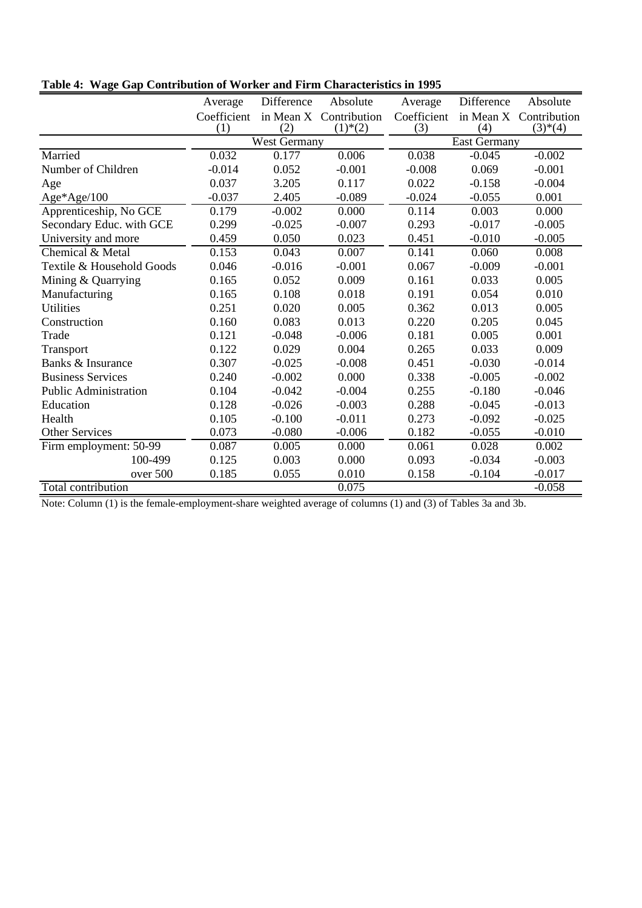|                              | Average     | Difference          | Absolute                 | Average     | Difference          | Absolute     |
|------------------------------|-------------|---------------------|--------------------------|-------------|---------------------|--------------|
|                              | Coefficient | in Mean X           | Contribution             | Coefficient | in Mean X           | Contribution |
|                              | (1)         | (2)                 | $(1)$ <sup>*</sup> $(2)$ | (3)         | (4)                 | $(3)*(4)$    |
|                              |             | <b>West Germany</b> |                          |             | <b>East Germany</b> |              |
| Married                      | 0.032       | 0.177               | 0.006                    | 0.038       | $-0.045$            | $-0.002$     |
| Number of Children           | $-0.014$    | 0.052               | $-0.001$                 | $-0.008$    | 0.069               | $-0.001$     |
| Age                          | 0.037       | 3.205               | 0.117                    | 0.022       | $-0.158$            | $-0.004$     |
| $Age*Age/100$                | $-0.037$    | 2.405               | $-0.089$                 | $-0.024$    | $-0.055$            | 0.001        |
| Apprenticeship, No GCE       | 0.179       | $-0.002$            | 0.000                    | 0.114       | 0.003               | 0.000        |
| Secondary Educ. with GCE     | 0.299       | $-0.025$            | $-0.007$                 | 0.293       | $-0.017$            | $-0.005$     |
| University and more          | 0.459       | 0.050               | 0.023                    | 0.451       | $-0.010$            | $-0.005$     |
| Chemical & Metal             | 0.153       | 0.043               | 0.007                    | 0.141       | 0.060               | 0.008        |
| Textile & Household Goods    | 0.046       | $-0.016$            | $-0.001$                 | 0.067       | $-0.009$            | $-0.001$     |
| Mining & Quarrying           | 0.165       | 0.052               | 0.009                    | 0.161       | 0.033               | 0.005        |
| Manufacturing                | 0.165       | 0.108               | 0.018                    | 0.191       | 0.054               | 0.010        |
| <b>Utilities</b>             | 0.251       | 0.020               | 0.005                    | 0.362       | 0.013               | 0.005        |
| Construction                 | 0.160       | 0.083               | 0.013                    | 0.220       | 0.205               | 0.045        |
| Trade                        | 0.121       | $-0.048$            | $-0.006$                 | 0.181       | 0.005               | 0.001        |
| Transport                    | 0.122       | 0.029               | 0.004                    | 0.265       | 0.033               | 0.009        |
| Banks & Insurance            | 0.307       | $-0.025$            | $-0.008$                 | 0.451       | $-0.030$            | $-0.014$     |
| <b>Business Services</b>     | 0.240       | $-0.002$            | 0.000                    | 0.338       | $-0.005$            | $-0.002$     |
| <b>Public Administration</b> | 0.104       | $-0.042$            | $-0.004$                 | 0.255       | $-0.180$            | $-0.046$     |
| Education                    | 0.128       | $-0.026$            | $-0.003$                 | 0.288       | $-0.045$            | $-0.013$     |
| Health                       | 0.105       | $-0.100$            | $-0.011$                 | 0.273       | $-0.092$            | $-0.025$     |
| <b>Other Services</b>        | 0.073       | $-0.080$            | $-0.006$                 | 0.182       | $-0.055$            | $-0.010$     |
| Firm employment: 50-99       | 0.087       | 0.005               | 0.000                    | 0.061       | 0.028               | 0.002        |
| 100-499                      | 0.125       | 0.003               | 0.000                    | 0.093       | $-0.034$            | $-0.003$     |
| over 500                     | 0.185       | 0.055               | 0.010                    | 0.158       | $-0.104$            | $-0.017$     |
| Total contribution           |             |                     | 0.075                    |             |                     | $-0.058$     |

**Table 4: Wage Gap Contribution of Worker and Firm Characteristics in 1995**

Note: Column (1) is the female-employment-share weighted average of columns (1) and (3) of Tables 3a and 3b.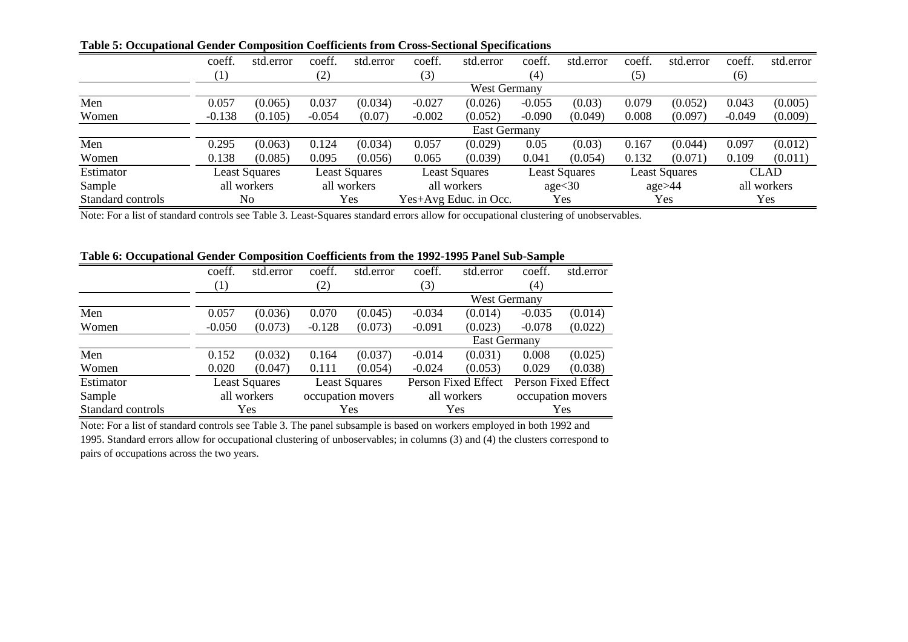|                   | coeff.              | std.error            | coeff.   | std.error            | coeff.   | std.error             | coeff.            | std.error            | coeff. | std.error            | coeff.   | std.error   |
|-------------------|---------------------|----------------------|----------|----------------------|----------|-----------------------|-------------------|----------------------|--------|----------------------|----------|-------------|
|                   | $\left( 1\right)$   |                      | (2)      |                      | (3)      |                       | $\left( 4\right)$ |                      | (5)    |                      | (6)      |             |
|                   |                     |                      |          |                      |          | <b>West Germany</b>   |                   |                      |        |                      |          |             |
| Men               | 0.057               | (0.065)              | 0.037    | (0.034)              | $-0.027$ | (0.026)               | $-0.055$          | (0.03)               | 0.079  | (0.052)              | 0.043    | (0.005)     |
| Women             | $-0.138$            | (0.105)              | $-0.054$ | (0.07)               | $-0.002$ | (0.052)               | $-0.090$          | (0.049)              | 0.008  | (0.097)              | $-0.049$ | (0.009)     |
|                   | <b>East Germany</b> |                      |          |                      |          |                       |                   |                      |        |                      |          |             |
| Men               | 0.295               | (0.063)              | 0.124    | (0.034)              | 0.057    | (0.029)               | 0.05              | (0.03)               | 0.167  | (0.044)              | 0.097    | (0.012)     |
| Women             | 0.138               | (0.085)              | 0.095    | (0.056)              | 0.065    | (0.039)               | 0.041             | (0.054)              | 0.132  | (0.071)              | 0.109    | (0.011)     |
| Estimator         |                     | <b>Least Squares</b> |          | <b>Least Squares</b> |          | <b>Least Squares</b>  |                   | <b>Least Squares</b> |        | <b>Least Squares</b> |          | <b>CLAD</b> |
| Sample            |                     | all workers          |          | all workers          |          | all workers           |                   | age<30               |        | $\text{age} > 44$    |          | all workers |
| Standard controls |                     | N <sub>o</sub>       |          | Yes                  |          | Yes+Avg Educ. in Occ. |                   | Yes                  |        | Yes                  |          | Yes         |

**Table 5: Occupational Gender Composition Coefficients from Cross-Sectional Specifications**

Note: For a list of standard controls see Table 3. Least-Squares standard errors allow for occupational clustering of unobservables.

#### **Table 6: Occupational Gender Composition Coefficients from the 1992-1995 Panel Sub-Sample**

|                   | coeff.   | std.error            | coeff.   | std.error            | coeff.              | std.error           | coeff.              | std.error         |
|-------------------|----------|----------------------|----------|----------------------|---------------------|---------------------|---------------------|-------------------|
|                   | (1)      |                      | (2)      |                      | (3)                 |                     | $\left( 4\right)$   |                   |
|                   |          |                      |          |                      |                     | <b>West Germany</b> |                     |                   |
| Men               | 0.057    | (0.036)              | 0.070    | (0.045)              | $-0.034$            | (0.014)             | $-0.035$            | (0.014)           |
| Women             | $-0.050$ | (0.073)              | $-0.128$ | (0.073)              | $-0.091$            | (0.023)             | $-0.078$            | (0.022)           |
|                   |          | <b>East Germany</b>  |          |                      |                     |                     |                     |                   |
| Men               | 0.152    | (0.032)              | 0.164    | (0.037)              | $-0.014$            | (0.031)             | 0.008               | (0.025)           |
| Women             | 0.020    | (0.047)              | 0.111    | (0.054)              | $-0.024$            | (0.053)             | 0.029               | (0.038)           |
| Estimator         |          | <b>Least Squares</b> |          | <b>Least Squares</b> | Person Fixed Effect |                     | Person Fixed Effect |                   |
| Sample            |          | all workers          |          | occupation movers    |                     | all workers         |                     | occupation movers |
| Standard controls |          | <b>Yes</b>           |          | Yes                  |                     | Yes                 |                     | Yes               |

Note: For a list of standard controls see Table 3. The panel subsample is based on workers employed in both 1992 and 1995. Standard errors allow for occupational clustering of unboservables; in columns (3) and (4) the clusters correspond to pairs of occupations across the two years.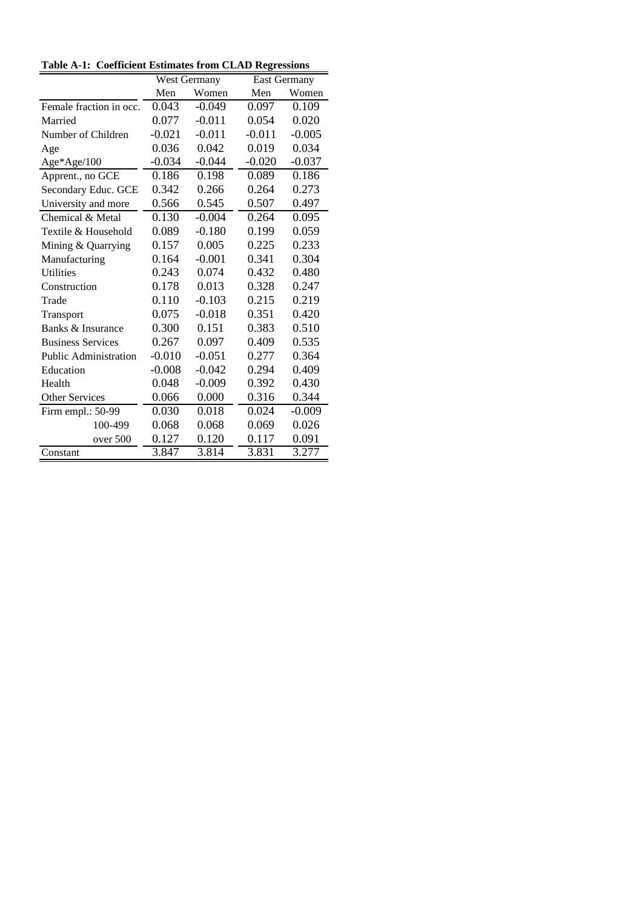|                              |          | <b>West Germany</b> | <b>East Germany</b> |          |
|------------------------------|----------|---------------------|---------------------|----------|
|                              | Men      | Women               | Men                 | Women    |
| Female fraction in occ.      | 0.043    | $-0.049$            | 0.097               | 0.109    |
| Married                      | 0.077    | $-0.011$            | 0.054               | 0.020    |
| Number of Children           | $-0.021$ | $-0.011$            | $-0.011$            | $-0.005$ |
| Age                          | 0.036    | 0.042               | 0.019               | 0.034    |
| $Age*Age/100$                | $-0.034$ | $-0.044$            | $-0.020$            | $-0.037$ |
| Apprent., no GCE             | 0.186    | 0.198               | 0.089               | 0.186    |
| Secondary Educ. GCE          | 0.342    | 0.266               | 0.264               | 0.273    |
| University and more          | 0.566    | 0.545               | 0.507               | 0.497    |
| Chemical & Metal             | 0.130    | $-0.004$            | 0.264               | 0.095    |
| Textile & Household          | 0.089    | $-0.180$            | 0.199               | 0.059    |
| Mining & Quarrying           | 0.157    | 0.005               | 0.225               | 0.233    |
| Manufacturing                | 0.164    | $-0.001$            | 0.341               | 0.304    |
| <b>Utilities</b>             | 0.243    | 0.074               | 0.432               | 0.480    |
| Construction                 | 0.178    | 0.013               | 0.328               | 0.247    |
| Trade                        | 0.110    | $-0.103$            | 0.215               | 0.219    |
| Transport                    | 0.075    | $-0.018$            | 0.351               | 0.420    |
| Banks & Insurance            | 0.300    | 0.151               | 0.383               | 0.510    |
| <b>Business Services</b>     | 0.267    | 0.097               | 0.409               | 0.535    |
| <b>Public Administration</b> | $-0.010$ | $-0.051$            | 0.277               | 0.364    |
| Education                    | $-0.008$ | $-0.042$            | 0.294               | 0.409    |
| Health                       | 0.048    | $-0.009$            | 0.392               | 0.430    |
| <b>Other Services</b>        | 0.066    | 0.000               | 0.316               | 0.344    |
| Firm empl.: 50-99            | 0.030    | 0.018               | 0.024               | $-0.009$ |
| 100-499                      | 0.068    | 0.068               | 0.069               | 0.026    |
| over 500                     | 0.127    | 0.120               | 0.117               | 0.091    |
| Constant                     | 3.847    | 3.814               | 3.831               | 3.277    |